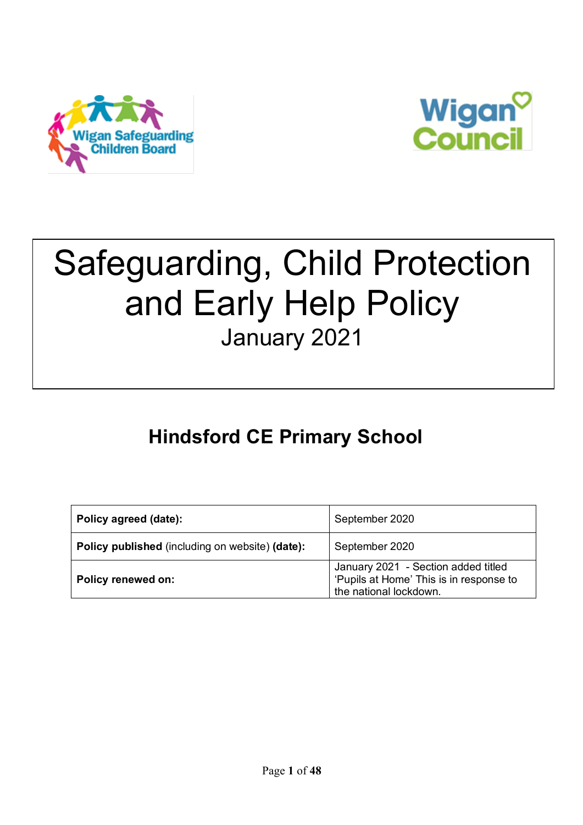



# Safeguarding, Child Protection and Early Help Policy January 2021

# **Hindsford CE Primary School**

| Policy agreed (date):                                  | September 2020                                                                                           |
|--------------------------------------------------------|----------------------------------------------------------------------------------------------------------|
| <b>Policy published</b> (including on website) (date): | September 2020                                                                                           |
| Policy renewed on:                                     | January 2021 - Section added titled<br>'Pupils at Home' This is in response to<br>the national lockdown. |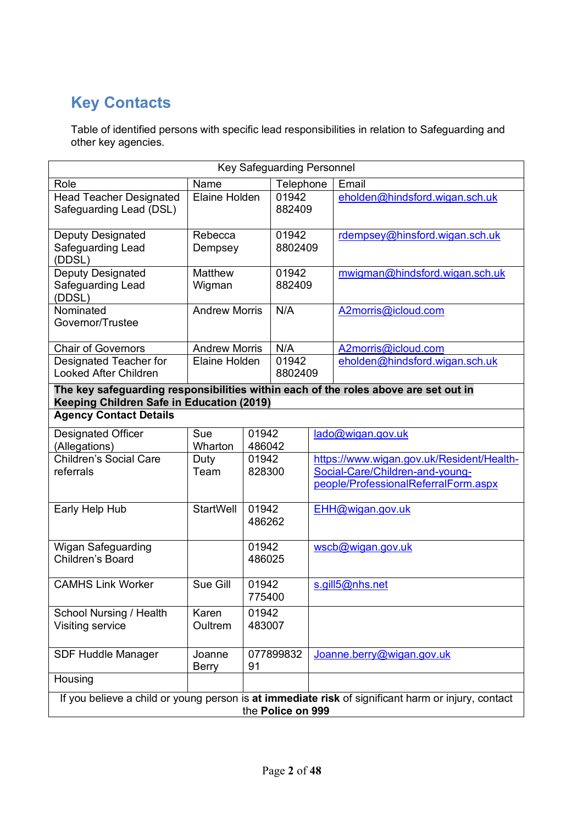# **Key Contacts**

Table of identified persons with specific lead responsibilities in relation to Safeguarding and other key agencies.

| <b>Key Safeguarding Personnel</b>                                                                                                |                                                                                                                         |                 |                  |  |                                                                         |
|----------------------------------------------------------------------------------------------------------------------------------|-------------------------------------------------------------------------------------------------------------------------|-----------------|------------------|--|-------------------------------------------------------------------------|
| Name<br>Role                                                                                                                     |                                                                                                                         |                 | Telephone        |  | Email                                                                   |
| <b>Head Teacher Designated</b><br>Safeguarding Lead (DSL)                                                                        | Elaine Holden                                                                                                           |                 | 01942<br>882409  |  | eholden@hindsford.wigan.sch.uk                                          |
| Deputy Designated<br>Safeguarding Lead<br>(DDSL)                                                                                 | Rebecca<br>Dempsey                                                                                                      |                 | 01942<br>8802409 |  | rdempsey@hinsford.wigan.sch.uk                                          |
| Deputy Designated<br>Safeguarding Lead<br>(DDSL)                                                                                 | Matthew<br>Wigman                                                                                                       |                 | 01942<br>882409  |  | mwigman@hindsford.wigan.sch.uk                                          |
| Nominated<br>Governor/Trustee                                                                                                    | <b>Andrew Morris</b>                                                                                                    |                 | N/A              |  | A2morris@icloud.com                                                     |
| <b>Chair of Governors</b>                                                                                                        | <b>Andrew Morris</b>                                                                                                    |                 | N/A              |  | A2morris@icloud.com                                                     |
| Designated Teacher for<br><b>Looked After Children</b>                                                                           | Elaine Holden                                                                                                           |                 | 01942<br>8802409 |  | eholden@hindsford.wigan.sch.uk                                          |
| The key safeguarding responsibilities within each of the roles above are set out in<br>Keeping Children Safe in Education (2019) |                                                                                                                         |                 |                  |  |                                                                         |
| <b>Agency Contact Details</b>                                                                                                    |                                                                                                                         |                 |                  |  |                                                                         |
| <b>Designated Officer</b><br>(Allegations)                                                                                       | Sue<br>Wharton                                                                                                          | 01942<br>486042 |                  |  | lado@wigan.gov.uk                                                       |
| <b>Children's Social Care</b>                                                                                                    | Duty                                                                                                                    | 01942           |                  |  | https://www.wigan.gov.uk/Resident/Health-                               |
| referrals                                                                                                                        | Team                                                                                                                    |                 | 828300           |  | Social-Care/Children-and-young-<br>people/ProfessionalReferralForm.aspx |
| Early Help Hub                                                                                                                   | <b>StartWell</b>                                                                                                        | 01942<br>486262 |                  |  | EHH@wigan.gov.uk                                                        |
| Wigan Safeguarding<br>Children's Board                                                                                           |                                                                                                                         | 01942<br>486025 |                  |  | wscb@wigan.gov.uk                                                       |
| <b>CAMHS Link Worker</b>                                                                                                         | Sue Gill                                                                                                                | 01942<br>775400 |                  |  | s.gill5@nhs.net                                                         |
| School Nursing / Health<br>Visiting service                                                                                      | Karen<br>Oultrem                                                                                                        | 01942<br>483007 |                  |  |                                                                         |
| <b>SDF Huddle Manager</b>                                                                                                        | Joanne<br><b>Berry</b>                                                                                                  | 91              | 077899832        |  | Joanne.berry@wigan.gov.uk                                               |
| Housing                                                                                                                          |                                                                                                                         |                 |                  |  |                                                                         |
|                                                                                                                                  | If you believe a child or young person is at immediate risk of significant harm or injury, contact<br>the Police on 999 |                 |                  |  |                                                                         |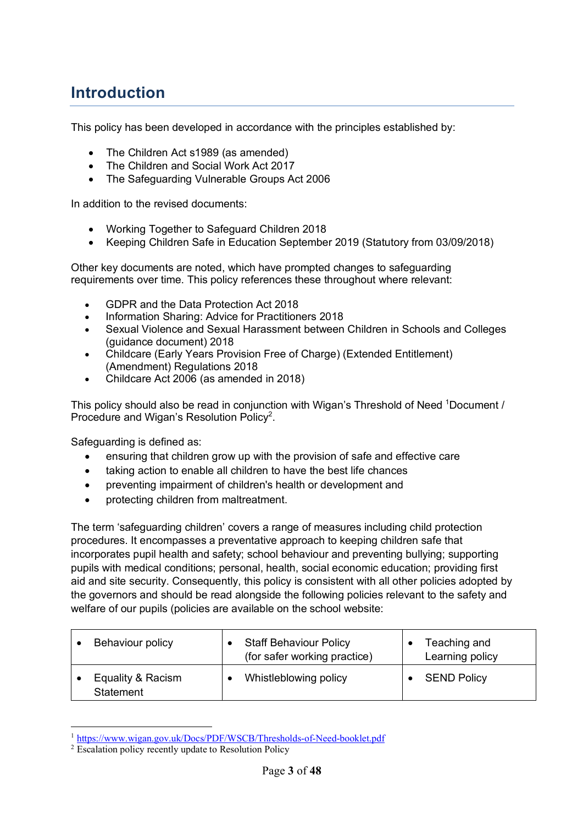# **Introduction**

This policy has been developed in accordance with the principles established by:

- The Children Act s1989 (as amended)
- The Children and Social Work Act 2017
- The Safeguarding Vulnerable Groups Act 2006

In addition to the revised documents:

- Working Together to Safeguard Children 2018
- Keeping Children Safe in Education September 2019 (Statutory from 03/09/2018)

Other key documents are noted, which have prompted changes to safeguarding requirements over time. This policy references these throughout where relevant:

- GDPR and the Data Protection Act 2018
- Information Sharing: Advice for Practitioners 2018
- Sexual Violence and Sexual Harassment between Children in Schools and Colleges (guidance document) 2018
- Childcare (Early Years Provision Free of Charge) (Extended Entitlement) (Amendment) Regulations 2018
- Childcare Act 2006 (as amended in 2018)

This policy should also be read in conjunction with Wigan's Threshold of Need <sup>1</sup>Document / Procedure and Wigan's Resolution Policy<sup>2</sup>.

Safeguarding is defined as:

- ensuring that children grow up with the provision of safe and effective care
- taking action to enable all children to have the best life chances
- preventing impairment of children's health or development and
- protecting children from maltreatment.

The term 'safeguarding children' covers a range of measures including child protection procedures. It encompasses a preventative approach to keeping children safe that incorporates pupil health and safety; school behaviour and preventing bullying; supporting pupils with medical conditions; personal, health, social economic education; providing first aid and site security. Consequently, this policy is consistent with all other policies adopted by the governors and should be read alongside the following policies relevant to the safety and welfare of our pupils (policies are available on the school website:

| Behaviour policy               | <b>Staff Behaviour Policy</b><br>(for safer working practice) | Teaching and<br>Learning policy |
|--------------------------------|---------------------------------------------------------------|---------------------------------|
| Equality & Racism<br>Statement | Whistleblowing policy                                         | <b>SEND Policy</b>              |

 <sup>1</sup> https://www.wigan.gov.uk/Docs/PDF/WSCB/Thresholds-of-Need-booklet.pdf

<sup>&</sup>lt;sup>2</sup> Escalation policy recently update to Resolution Policy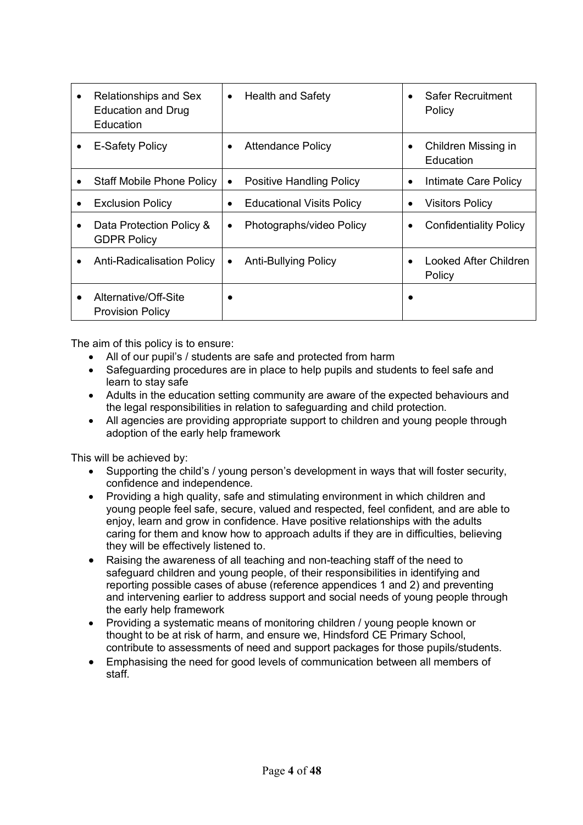| Relationships and Sex<br>$\bullet$<br><b>Education and Drug</b><br>Education | <b>Health and Safety</b><br>$\bullet$         | Safer Recruitment<br>Policy                   |
|------------------------------------------------------------------------------|-----------------------------------------------|-----------------------------------------------|
| <b>E-Safety Policy</b><br>٠                                                  | <b>Attendance Policy</b><br>$\bullet$         | Children Missing in<br>$\bullet$<br>Education |
| <b>Staff Mobile Phone Policy</b>                                             | <b>Positive Handling Policy</b><br>$\bullet$  | Intimate Care Policy<br>$\bullet$             |
| <b>Exclusion Policy</b><br>٠                                                 | <b>Educational Visits Policy</b><br>$\bullet$ | <b>Visitors Policy</b>                        |
| Data Protection Policy &<br><b>GDPR Policy</b>                               | Photographs/video Policy<br>$\bullet$         | <b>Confidentiality Policy</b>                 |
| <b>Anti-Radicalisation Policy</b><br>$\bullet$                               | <b>Anti-Bullying Policy</b><br>٠              | Looked After Children<br>Policy               |
| Alternative/Off-Site<br>٠<br><b>Provision Policy</b>                         |                                               |                                               |

The aim of this policy is to ensure:

- All of our pupil's / students are safe and protected from harm
- Safeguarding procedures are in place to help pupils and students to feel safe and learn to stay safe
- Adults in the education setting community are aware of the expected behaviours and the legal responsibilities in relation to safeguarding and child protection.
- All agencies are providing appropriate support to children and young people through adoption of the early help framework

This will be achieved by:

- Supporting the child's / young person's development in ways that will foster security, confidence and independence.
- Providing a high quality, safe and stimulating environment in which children and young people feel safe, secure, valued and respected, feel confident, and are able to enjoy, learn and grow in confidence. Have positive relationships with the adults caring for them and know how to approach adults if they are in difficulties, believing they will be effectively listened to.
- Raising the awareness of all teaching and non-teaching staff of the need to safeguard children and young people, of their responsibilities in identifying and reporting possible cases of abuse (reference appendices 1 and 2) and preventing and intervening earlier to address support and social needs of young people through the early help framework
- Providing a systematic means of monitoring children / young people known or thought to be at risk of harm, and ensure we, Hindsford CE Primary School, contribute to assessments of need and support packages for those pupils/students.
- Emphasising the need for good levels of communication between all members of staff.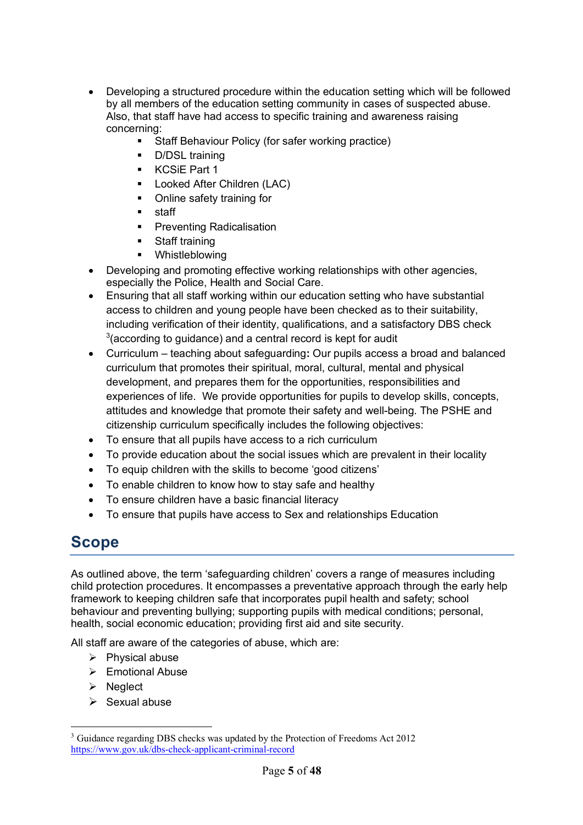- Developing a structured procedure within the education setting which will be followed by all members of the education setting community in cases of suspected abuse. Also, that staff have had access to specific training and awareness raising concerning:
	- Staff Behaviour Policy (for safer working practice)
	- § D/DSL training
	- § KCSiE Part 1
	- Looked After Children (LAC)
	- Online safety training for
	- staff
	- **•** Preventing Radicalisation
	- § Staff training
	- § Whistleblowing
- Developing and promoting effective working relationships with other agencies, especially the Police, Health and Social Care.
- Ensuring that all staff working within our education setting who have substantial access to children and young people have been checked as to their suitability, including verification of their identity, qualifications, and a satisfactory DBS check  $3$ (according to guidance) and a central record is kept for audit
- Curriculum teaching about safeguarding**:** Our pupils access a broad and balanced curriculum that promotes their spiritual, moral, cultural, mental and physical development, and prepares them for the opportunities, responsibilities and experiences of life. We provide opportunities for pupils to develop skills, concepts, attitudes and knowledge that promote their safety and well-being. The PSHE and citizenship curriculum specifically includes the following objectives:
- To ensure that all pupils have access to a rich curriculum
- To provide education about the social issues which are prevalent in their locality
- To equip children with the skills to become 'good citizens'
- To enable children to know how to stay safe and healthy
- To ensure children have a basic financial literacy
- To ensure that pupils have access to Sex and relationships Education

### **Scope**

As outlined above, the term 'safeguarding children' covers a range of measures including child protection procedures. It encompasses a preventative approach through the early help framework to keeping children safe that incorporates pupil health and safety; school behaviour and preventing bullying; supporting pupils with medical conditions; personal, health, social economic education; providing first aid and site security.

All staff are aware of the categories of abuse, which are:

- $\triangleright$  Physical abuse
- $\triangleright$  Emotional Abuse
- $\triangleright$  Neglect
- $\triangleright$  Sexual abuse

<sup>&</sup>lt;sup>3</sup> Guidance regarding DBS checks was updated by the Protection of Freedoms Act 2012 https://www.gov.uk/dbs-check-applicant-criminal-record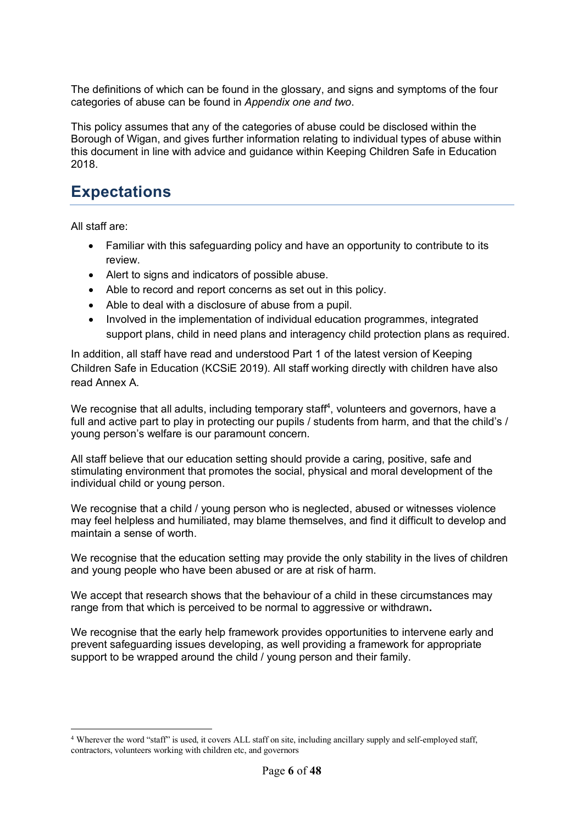The definitions of which can be found in the glossary, and signs and symptoms of the four categories of abuse can be found in *Appendix one and two*.

This policy assumes that any of the categories of abuse could be disclosed within the Borough of Wigan, and gives further information relating to individual types of abuse within this document in line with advice and guidance within Keeping Children Safe in Education 2018.

### **Expectations**

All staff are:

- Familiar with this safeguarding policy and have an opportunity to contribute to its review.
- Alert to signs and indicators of possible abuse.
- Able to record and report concerns as set out in this policy.
- Able to deal with a disclosure of abuse from a pupil.
- Involved in the implementation of individual education programmes, integrated support plans, child in need plans and interagency child protection plans as required.

In addition, all staff have read and understood Part 1 of the latest version of Keeping Children Safe in Education (KCSiE 2019). All staff working directly with children have also read Annex A.

We recognise that all adults, including temporary staff<sup>4</sup>, volunteers and governors, have a full and active part to play in protecting our pupils / students from harm, and that the child's / young person's welfare is our paramount concern.

All staff believe that our education setting should provide a caring, positive, safe and stimulating environment that promotes the social, physical and moral development of the individual child or young person.

We recognise that a child / young person who is neglected, abused or witnesses violence may feel helpless and humiliated, may blame themselves, and find it difficult to develop and maintain a sense of worth.

We recognise that the education setting may provide the only stability in the lives of children and young people who have been abused or are at risk of harm.

We accept that research shows that the behaviour of a child in these circumstances may range from that which is perceived to be normal to aggressive or withdrawn**.** 

We recognise that the early help framework provides opportunities to intervene early and prevent safeguarding issues developing, as well providing a framework for appropriate support to be wrapped around the child / young person and their family.

 <sup>4</sup> Wherever the word "staff" is used, it covers ALL staff on site, including ancillary supply and self-employed staff, contractors, volunteers working with children etc, and governors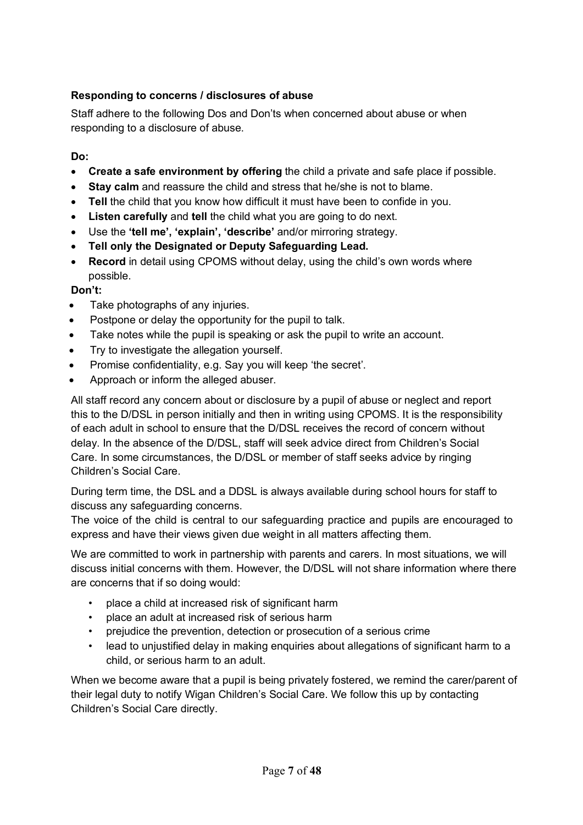#### **Responding to concerns / disclosures of abuse**

Staff adhere to the following Dos and Don'ts when concerned about abuse or when responding to a disclosure of abuse.

#### **Do:**

- **Create a safe environment by offering** the child a private and safe place if possible.
- **Stay calm** and reassure the child and stress that he/she is not to blame.
- **Tell** the child that you know how difficult it must have been to confide in you.
- **Listen carefully** and **tell** the child what you are going to do next.
- Use the **'tell me', 'explain', 'describe'** and/or mirroring strategy.
- **Tell only the Designated or Deputy Safeguarding Lead.**
- **Record** in detail using CPOMS without delay, using the child's own words where possible.

#### **Don't:**

- Take photographs of any injuries.
- Postpone or delay the opportunity for the pupil to talk.
- Take notes while the pupil is speaking or ask the pupil to write an account.
- Try to investigate the allegation yourself.
- Promise confidentiality, e.g. Say you will keep 'the secret'.
- Approach or inform the alleged abuser.

All staff record any concern about or disclosure by a pupil of abuse or neglect and report this to the D/DSL in person initially and then in writing using CPOMS. It is the responsibility of each adult in school to ensure that the D/DSL receives the record of concern without delay. In the absence of the D/DSL, staff will seek advice direct from Children's Social Care. In some circumstances, the D/DSL or member of staff seeks advice by ringing Children's Social Care.

During term time, the DSL and a DDSL is always available during school hours for staff to discuss any safeguarding concerns.

The voice of the child is central to our safeguarding practice and pupils are encouraged to express and have their views given due weight in all matters affecting them.

We are committed to work in partnership with parents and carers. In most situations, we will discuss initial concerns with them. However, the D/DSL will not share information where there are concerns that if so doing would:

- place a child at increased risk of significant harm
- place an adult at increased risk of serious harm
- prejudice the prevention, detection or prosecution of a serious crime
- lead to unjustified delay in making enquiries about allegations of significant harm to a child, or serious harm to an adult.

When we become aware that a pupil is being privately fostered, we remind the carer/parent of their legal duty to notify Wigan Children's Social Care. We follow this up by contacting Children's Social Care directly.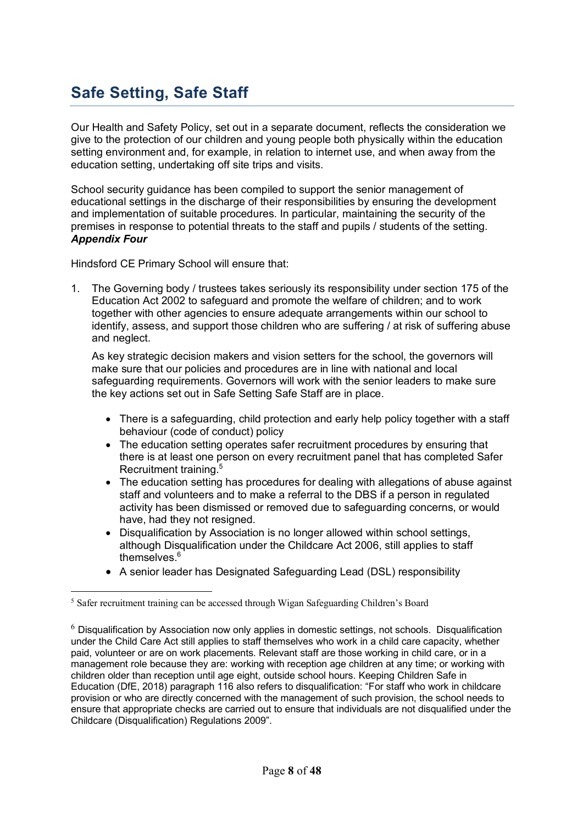# **Safe Setting, Safe Staff**

Our Health and Safety Policy, set out in a separate document, reflects the consideration we give to the protection of our children and young people both physically within the education setting environment and, for example, in relation to internet use, and when away from the education setting, undertaking off site trips and visits.

School security guidance has been compiled to support the senior management of educational settings in the discharge of their responsibilities by ensuring the development and implementation of suitable procedures. In particular, maintaining the security of the premises in response to potential threats to the staff and pupils / students of the setting. *Appendix Four*

Hindsford CE Primary School will ensure that:

1. The Governing body / trustees takes seriously its responsibility under section 175 of the Education Act 2002 to safeguard and promote the welfare of children; and to work together with other agencies to ensure adequate arrangements within our school to identify, assess, and support those children who are suffering / at risk of suffering abuse and neglect.

As key strategic decision makers and vision setters for the school, the governors will make sure that our policies and procedures are in line with national and local safeguarding requirements. Governors will work with the senior leaders to make sure the key actions set out in Safe Setting Safe Staff are in place.

- There is a safeguarding, child protection and early help policy together with a staff behaviour (code of conduct) policy
- The education setting operates safer recruitment procedures by ensuring that there is at least one person on every recruitment panel that has completed Safer Recruitment training. 5
- The education setting has procedures for dealing with allegations of abuse against staff and volunteers and to make a referral to the DBS if a person in regulated activity has been dismissed or removed due to safeguarding concerns, or would have, had they not resigned.
- Disqualification by Association is no longer allowed within school settings, although Disqualification under the Childcare Act 2006, still applies to staff themselves.<sup>6</sup>
- A senior leader has Designated Safeguarding Lead (DSL) responsibility

 <sup>5</sup> Safer recruitment training can be accessed through Wigan Safeguarding Children's Board

 $6$  Disqualification by Association now only applies in domestic settings, not schools. Disqualification under the Child Care Act still applies to staff themselves who work in a child care capacity, whether paid, volunteer or are on work placements. Relevant staff are those working in child care, or in a management role because they are: working with reception age children at any time; or working with children older than reception until age eight, outside school hours. Keeping Children Safe in Education (DfE, 2018) paragraph 116 also refers to disqualification: "For staff who work in childcare provision or who are directly concerned with the management of such provision, the school needs to ensure that appropriate checks are carried out to ensure that individuals are not disqualified under the Childcare (Disqualification) Regulations 2009".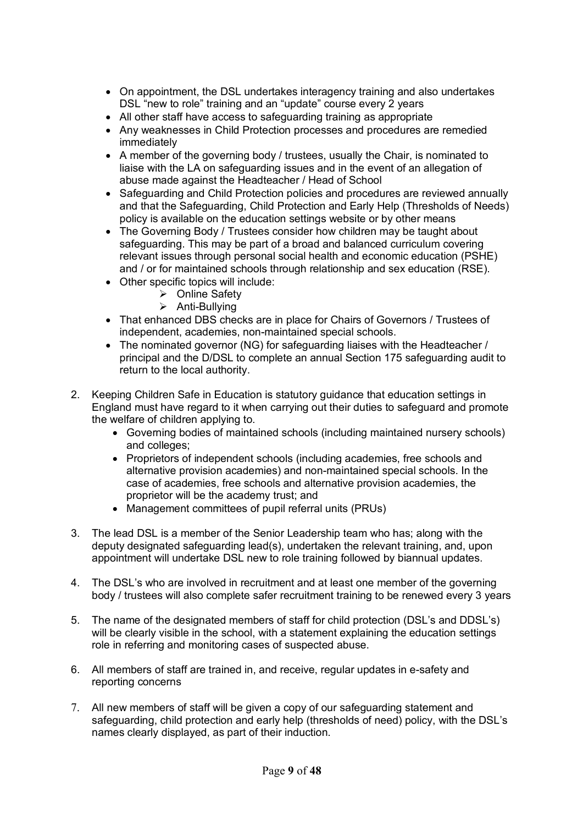- On appointment, the DSL undertakes interagency training and also undertakes DSL "new to role" training and an "update" course every 2 years
- All other staff have access to safeguarding training as appropriate
- Any weaknesses in Child Protection processes and procedures are remedied immediately
- A member of the governing body / trustees, usually the Chair, is nominated to liaise with the LA on safeguarding issues and in the event of an allegation of abuse made against the Headteacher / Head of School
- Safeguarding and Child Protection policies and procedures are reviewed annually and that the Safeguarding, Child Protection and Early Help (Thresholds of Needs) policy is available on the education settings website or by other means
- The Governing Body / Trustees consider how children may be taught about safeguarding. This may be part of a broad and balanced curriculum covering relevant issues through personal social health and economic education (PSHE) and / or for maintained schools through relationship and sex education (RSE).
- Other specific topics will include:
	- **≻** Online Safety
	- $\triangleright$  Anti-Bullying
- That enhanced DBS checks are in place for Chairs of Governors / Trustees of independent, academies, non-maintained special schools.
- The nominated governor (NG) for safeguarding liaises with the Headteacher / principal and the D/DSL to complete an annual Section 175 safeguarding audit to return to the local authority.
- 2. Keeping Children Safe in Education is statutory guidance that education settings in England must have regard to it when carrying out their duties to safeguard and promote the welfare of children applying to.
	- Governing bodies of maintained schools (including maintained nursery schools) and colleges;
	- Proprietors of independent schools (including academies, free schools and alternative provision academies) and non-maintained special schools. In the case of academies, free schools and alternative provision academies, the proprietor will be the academy trust; and
	- Management committees of pupil referral units (PRUs)
- 3. The lead DSL is a member of the Senior Leadership team who has; along with the deputy designated safeguarding lead(s), undertaken the relevant training, and, upon appointment will undertake DSL new to role training followed by biannual updates.
- 4. The DSL's who are involved in recruitment and at least one member of the governing body / trustees will also complete safer recruitment training to be renewed every 3 years
- 5. The name of the designated members of staff for child protection (DSL's and DDSL's) will be clearly visible in the school, with a statement explaining the education settings role in referring and monitoring cases of suspected abuse.
- 6. All members of staff are trained in, and receive, regular updates in e-safety and reporting concerns
- 7. All new members of staff will be given a copy of our safeguarding statement and safeguarding, child protection and early help (thresholds of need) policy, with the DSL's names clearly displayed, as part of their induction.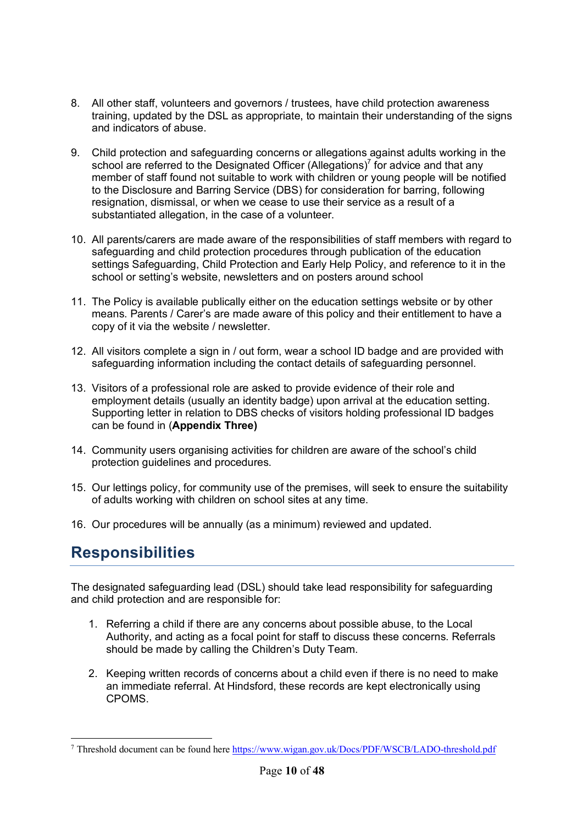- 8. All other staff, volunteers and governors / trustees, have child protection awareness training, updated by the DSL as appropriate, to maintain their understanding of the signs and indicators of abuse.
- 9. Child protection and safeguarding concerns or allegations against adults working in the school are referred to the Designated Officer (Allegations)<sup>7</sup> for advice and that any member of staff found not suitable to work with children or young people will be notified to the Disclosure and Barring Service (DBS) for consideration for barring, following resignation, dismissal, or when we cease to use their service as a result of a substantiated allegation, in the case of a volunteer.
- 10. All parents/carers are made aware of the responsibilities of staff members with regard to safeguarding and child protection procedures through publication of the education settings Safeguarding, Child Protection and Early Help Policy, and reference to it in the school or setting's website, newsletters and on posters around school
- 11. The Policy is available publically either on the education settings website or by other means. Parents / Carer's are made aware of this policy and their entitlement to have a copy of it via the website / newsletter.
- 12. All visitors complete a sign in / out form, wear a school ID badge and are provided with safeguarding information including the contact details of safeguarding personnel.
- 13. Visitors of a professional role are asked to provide evidence of their role and employment details (usually an identity badge) upon arrival at the education setting. Supporting letter in relation to DBS checks of visitors holding professional ID badges can be found in (**Appendix Three)**
- 14. Community users organising activities for children are aware of the school's child protection guidelines and procedures.
- 15. Our lettings policy, for community use of the premises, will seek to ensure the suitability of adults working with children on school sites at any time.
- 16. Our procedures will be annually (as a minimum) reviewed and updated.

### **Responsibilities**

The designated safeguarding lead (DSL) should take lead responsibility for safeguarding and child protection and are responsible for:

- 1. Referring a child if there are any concerns about possible abuse, to the Local Authority, and acting as a focal point for staff to discuss these concerns. Referrals should be made by calling the Children's Duty Team.
- 2. Keeping written records of concerns about a child even if there is no need to make an immediate referral. At Hindsford, these records are kept electronically using CPOMS.

 <sup>7</sup> Threshold document can be found here https://www.wigan.gov.uk/Docs/PDF/WSCB/LADO-threshold.pdf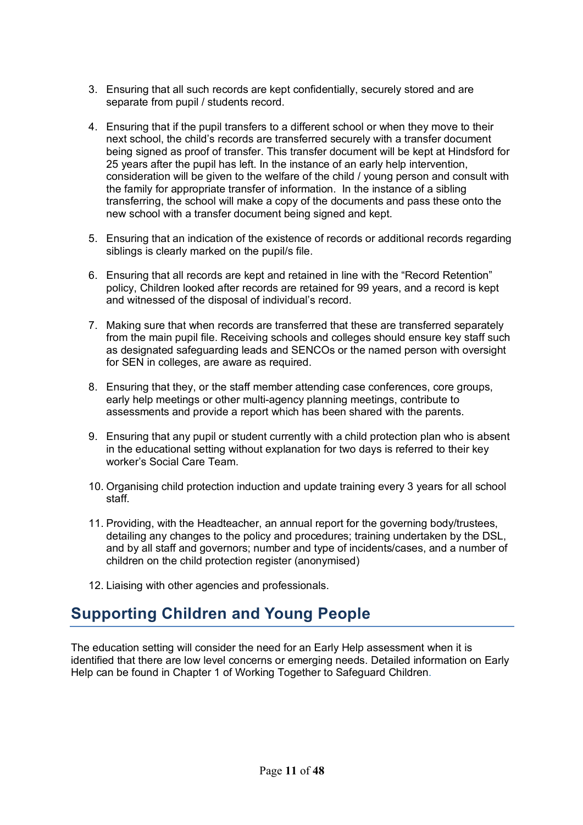- 3. Ensuring that all such records are kept confidentially, securely stored and are separate from pupil / students record.
- 4. Ensuring that if the pupil transfers to a different school or when they move to their next school, the child's records are transferred securely with a transfer document being signed as proof of transfer. This transfer document will be kept at Hindsford for 25 years after the pupil has left. In the instance of an early help intervention, consideration will be given to the welfare of the child / young person and consult with the family for appropriate transfer of information. In the instance of a sibling transferring, the school will make a copy of the documents and pass these onto the new school with a transfer document being signed and kept.
- 5. Ensuring that an indication of the existence of records or additional records regarding siblings is clearly marked on the pupil/s file.
- 6. Ensuring that all records are kept and retained in line with the "Record Retention" policy, Children looked after records are retained for 99 years, and a record is kept and witnessed of the disposal of individual's record.
- 7. Making sure that when records are transferred that these are transferred separately from the main pupil file. Receiving schools and colleges should ensure key staff such as designated safeguarding leads and SENCOs or the named person with oversight for SEN in colleges, are aware as required.
- 8. Ensuring that they, or the staff member attending case conferences, core groups, early help meetings or other multi-agency planning meetings, contribute to assessments and provide a report which has been shared with the parents.
- 9. Ensuring that any pupil or student currently with a child protection plan who is absent in the educational setting without explanation for two days is referred to their key worker's Social Care Team.
- 10. Organising child protection induction and update training every 3 years for all school staff.
- 11. Providing, with the Headteacher, an annual report for the governing body/trustees, detailing any changes to the policy and procedures; training undertaken by the DSL, and by all staff and governors; number and type of incidents/cases, and a number of children on the child protection register (anonymised)
- 12. Liaising with other agencies and professionals.

### **Supporting Children and Young People**

The education setting will consider the need for an Early Help assessment when it is identified that there are low level concerns or emerging needs. Detailed information on Early Help can be found in Chapter 1 of Working Together to Safeguard Children.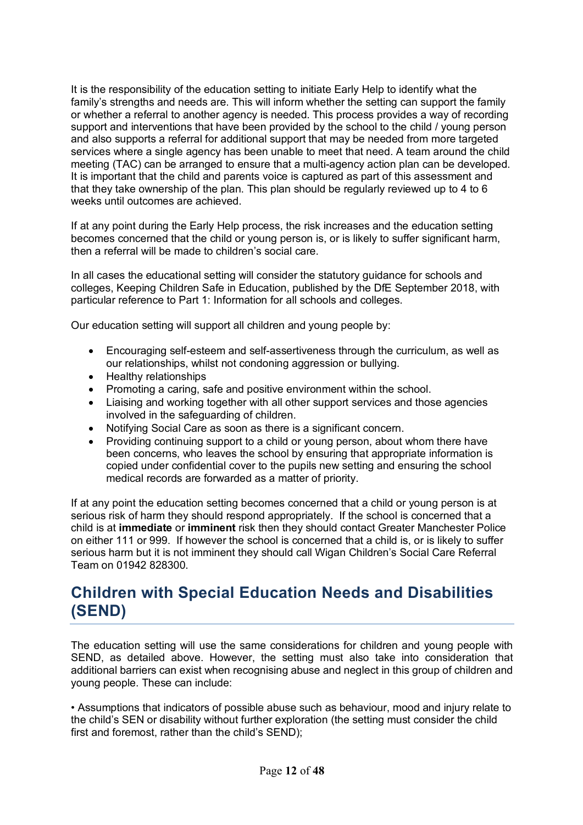It is the responsibility of the education setting to initiate Early Help to identify what the family's strengths and needs are. This will inform whether the setting can support the family or whether a referral to another agency is needed. This process provides a way of recording support and interventions that have been provided by the school to the child / young person and also supports a referral for additional support that may be needed from more targeted services where a single agency has been unable to meet that need. A team around the child meeting (TAC) can be arranged to ensure that a multi-agency action plan can be developed. It is important that the child and parents voice is captured as part of this assessment and that they take ownership of the plan. This plan should be regularly reviewed up to 4 to 6 weeks until outcomes are achieved.

If at any point during the Early Help process, the risk increases and the education setting becomes concerned that the child or young person is, or is likely to suffer significant harm, then a referral will be made to children's social care.

In all cases the educational setting will consider the statutory guidance for schools and colleges, Keeping Children Safe in Education, published by the DfE September 2018, with particular reference to Part 1: Information for all schools and colleges.

Our education setting will support all children and young people by:

- Encouraging self-esteem and self-assertiveness through the curriculum, as well as our relationships, whilst not condoning aggression or bullying.
- Healthy relationships
- Promoting a caring, safe and positive environment within the school.
- Liaising and working together with all other support services and those agencies involved in the safeguarding of children.
- Notifying Social Care as soon as there is a significant concern.
- Providing continuing support to a child or young person, about whom there have been concerns, who leaves the school by ensuring that appropriate information is copied under confidential cover to the pupils new setting and ensuring the school medical records are forwarded as a matter of priority.

If at any point the education setting becomes concerned that a child or young person is at serious risk of harm they should respond appropriately. If the school is concerned that a child is at **immediate** or **imminent** risk then they should contact Greater Manchester Police on either 111 or 999. If however the school is concerned that a child is, or is likely to suffer serious harm but it is not imminent they should call Wigan Children's Social Care Referral Team on 01942 828300.

### **Children with Special Education Needs and Disabilities (SEND)**

The education setting will use the same considerations for children and young people with SEND, as detailed above. However, the setting must also take into consideration that additional barriers can exist when recognising abuse and neglect in this group of children and young people. These can include:

• Assumptions that indicators of possible abuse such as behaviour, mood and injury relate to the child's SEN or disability without further exploration (the setting must consider the child first and foremost, rather than the child's SEND);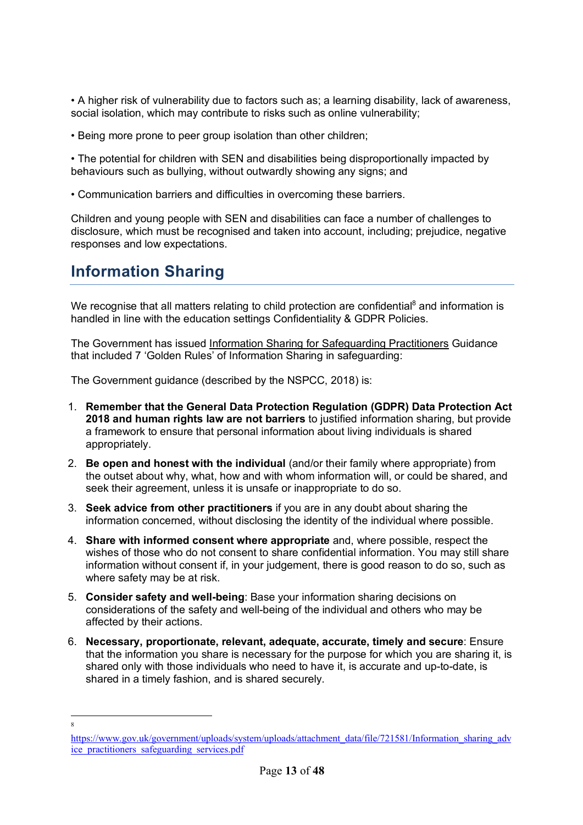• A higher risk of vulnerability due to factors such as; a learning disability, lack of awareness, social isolation, which may contribute to risks such as online vulnerability;

• Being more prone to peer group isolation than other children;

• The potential for children with SEN and disabilities being disproportionally impacted by behaviours such as bullying, without outwardly showing any signs; and

• Communication barriers and difficulties in overcoming these barriers.

Children and young people with SEN and disabilities can face a number of challenges to disclosure, which must be recognised and taken into account, including; prejudice, negative responses and low expectations.

### **Information Sharing**

We recognise that all matters relating to child protection are confidential<sup>8</sup> and information is handled in line with the education settings Confidentiality & GDPR Policies.

The Government has issued Information Sharing for Safeguarding Practitioners Guidance that included 7 'Golden Rules' of Information Sharing in safeguarding:

The Government guidance (described by the NSPCC, 2018) is:

- 1. **Remember that the General Data Protection Regulation (GDPR) Data Protection Act 2018 and human rights law are not barriers** to justified information sharing, but provide a framework to ensure that personal information about living individuals is shared appropriately.
- 2. **Be open and honest with the individual** (and/or their family where appropriate) from the outset about why, what, how and with whom information will, or could be shared, and seek their agreement, unless it is unsafe or inappropriate to do so.
- 3. **Seek advice from other practitioners** if you are in any doubt about sharing the information concerned, without disclosing the identity of the individual where possible.
- 4. **Share with informed consent where appropriate** and, where possible, respect the wishes of those who do not consent to share confidential information. You may still share information without consent if, in your judgement, there is good reason to do so, such as where safety may be at risk.
- 5. **Consider safety and well-being**: Base your information sharing decisions on considerations of the safety and well-being of the individual and others who may be affected by their actions.
- 6. **Necessary, proportionate, relevant, adequate, accurate, timely and secure**: Ensure that the information you share is necessary for the purpose for which you are sharing it, is shared only with those individuals who need to have it, is accurate and up-to-date, is shared in a timely fashion, and is shared securely.

 $\frac{1}{8}$ 

https://www.gov.uk/government/uploads/system/uploads/attachment\_data/file/721581/Information\_sharing\_adv ice\_practitioners\_safeguarding\_services.pdf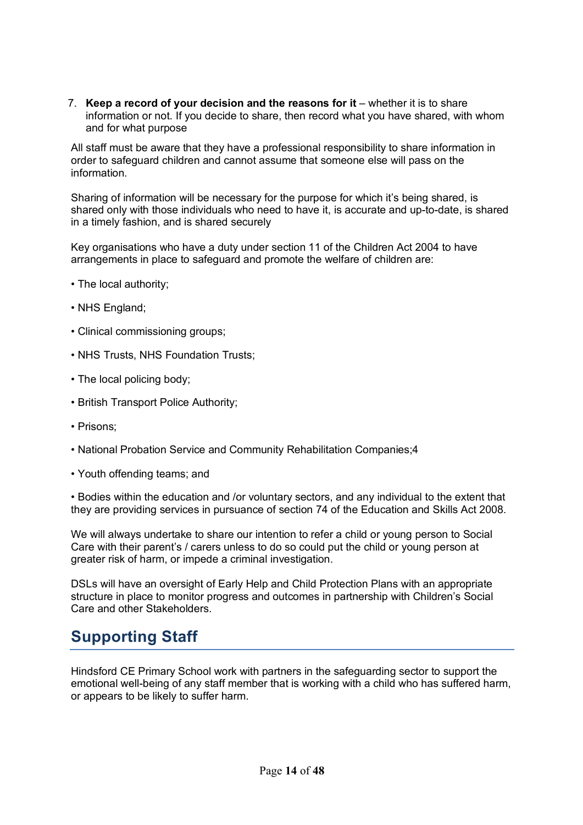7. **Keep a record of your decision and the reasons for it** – whether it is to share information or not. If you decide to share, then record what you have shared, with whom and for what purpose

All staff must be aware that they have a professional responsibility to share information in order to safeguard children and cannot assume that someone else will pass on the information.

Sharing of information will be necessary for the purpose for which it's being shared, is shared only with those individuals who need to have it, is accurate and up-to-date, is shared in a timely fashion, and is shared securely

Key organisations who have a duty under section 11 of the Children Act 2004 to have arrangements in place to safeguard and promote the welfare of children are:

- The local authority;
- NHS England;
- Clinical commissioning groups;
- NHS Trusts, NHS Foundation Trusts;
- The local policing body;
- British Transport Police Authority;
- Prisons;
- National Probation Service and Community Rehabilitation Companies;4
- Youth offending teams; and

• Bodies within the education and /or voluntary sectors, and any individual to the extent that they are providing services in pursuance of section 74 of the Education and Skills Act 2008.

We will always undertake to share our intention to refer a child or young person to Social Care with their parent's / carers unless to do so could put the child or young person at greater risk of harm, or impede a criminal investigation.

DSLs will have an oversight of Early Help and Child Protection Plans with an appropriate structure in place to monitor progress and outcomes in partnership with Children's Social Care and other Stakeholders.

### **Supporting Staff**

Hindsford CE Primary School work with partners in the safeguarding sector to support the emotional well-being of any staff member that is working with a child who has suffered harm, or appears to be likely to suffer harm.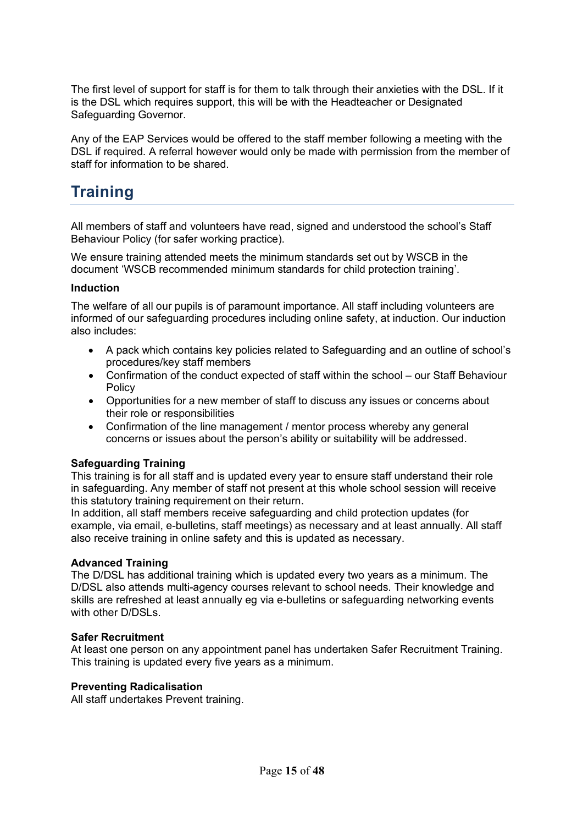The first level of support for staff is for them to talk through their anxieties with the DSL. If it is the DSL which requires support, this will be with the Headteacher or Designated Safeguarding Governor.

Any of the EAP Services would be offered to the staff member following a meeting with the DSL if required. A referral however would only be made with permission from the member of staff for information to be shared.

# **Training**

All members of staff and volunteers have read, signed and understood the school's Staff Behaviour Policy (for safer working practice).

We ensure training attended meets the minimum standards set out by WSCB in the document 'WSCB recommended minimum standards for child protection training'.

#### **Induction**

The welfare of all our pupils is of paramount importance. All staff including volunteers are informed of our safeguarding procedures including online safety, at induction. Our induction also includes:

- A pack which contains key policies related to Safeguarding and an outline of school's procedures/key staff members
- Confirmation of the conduct expected of staff within the school our Staff Behaviour **Policy**
- Opportunities for a new member of staff to discuss any issues or concerns about their role or responsibilities
- Confirmation of the line management / mentor process whereby any general concerns or issues about the person's ability or suitability will be addressed.

#### **Safeguarding Training**

This training is for all staff and is updated every year to ensure staff understand their role in safeguarding. Any member of staff not present at this whole school session will receive this statutory training requirement on their return.

In addition, all staff members receive safeguarding and child protection updates (for example, via email, e-bulletins, staff meetings) as necessary and at least annually. All staff also receive training in online safety and this is updated as necessary.

#### **Advanced Training**

The D/DSL has additional training which is updated every two years as a minimum. The D/DSL also attends multi-agency courses relevant to school needs. Their knowledge and skills are refreshed at least annually eg via e-bulletins or safeguarding networking events with other D/DSLs.

#### **Safer Recruitment**

At least one person on any appointment panel has undertaken Safer Recruitment Training. This training is updated every five years as a minimum.

#### **Preventing Radicalisation**

All staff undertakes Prevent training.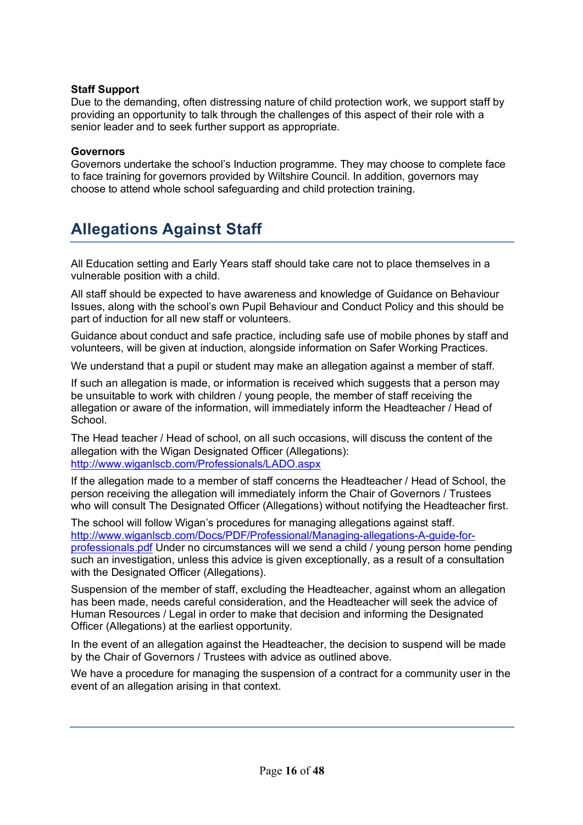#### **Staff Support**

Due to the demanding, often distressing nature of child protection work, we support staff by providing an opportunity to talk through the challenges of this aspect of their role with a senior leader and to seek further support as appropriate.

#### **Governors**

Governors undertake the school's Induction programme. They may choose to complete face to face training for governors provided by Wiltshire Council. In addition, governors may choose to attend whole school safeguarding and child protection training.

### **Allegations Against Staff**

All Education setting and Early Years staff should take care not to place themselves in a vulnerable position with a child.

All staff should be expected to have awareness and knowledge of Guidance on Behaviour Issues, along with the school's own Pupil Behaviour and Conduct Policy and this should be part of induction for all new staff or volunteers.

Guidance about conduct and safe practice, including safe use of mobile phones by staff and volunteers, will be given at induction, alongside information on Safer Working Practices.

We understand that a pupil or student may make an allegation against a member of staff.

If such an allegation is made, or information is received which suggests that a person may be unsuitable to work with children / young people, the member of staff receiving the allegation or aware of the information, will immediately inform the Headteacher / Head of School.

The Head teacher / Head of school, on all such occasions, will discuss the content of the allegation with the Wigan Designated Officer (Allegations): http://www.wiganlscb.com/Professionals/LADO.aspx

If the allegation made to a member of staff concerns the Headteacher / Head of School, the person receiving the allegation will immediately inform the Chair of Governors / Trustees who will consult The Designated Officer (Allegations) without notifying the Headteacher first.

The school will follow Wigan's procedures for managing allegations against staff. http://www.wiganlscb.com/Docs/PDF/Professional/Managing-allegations-A-guide-forprofessionals.pdf Under no circumstances will we send a child / young person home pending such an investigation, unless this advice is given exceptionally, as a result of a consultation with the Designated Officer (Allegations).

Suspension of the member of staff, excluding the Headteacher, against whom an allegation has been made, needs careful consideration, and the Headteacher will seek the advice of Human Resources / Legal in order to make that decision and informing the Designated Officer (Allegations) at the earliest opportunity.

In the event of an allegation against the Headteacher, the decision to suspend will be made by the Chair of Governors / Trustees with advice as outlined above.

We have a procedure for managing the suspension of a contract for a community user in the event of an allegation arising in that context.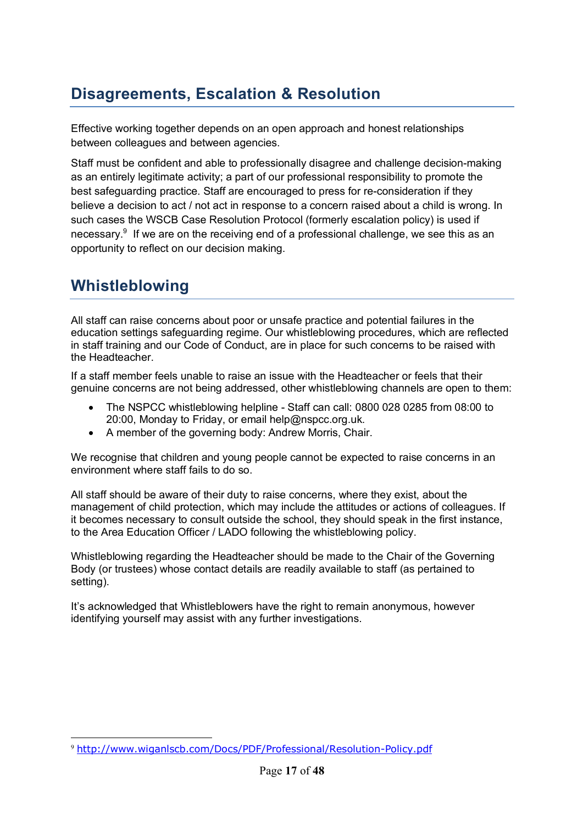# **Disagreements, Escalation & Resolution**

Effective working together depends on an open approach and honest relationships between colleagues and between agencies.

Staff must be confident and able to professionally disagree and challenge decision-making as an entirely legitimate activity; a part of our professional responsibility to promote the best safeguarding practice. Staff are encouraged to press for re-consideration if they believe a decision to act / not act in response to a concern raised about a child is wrong. In such cases the WSCB Case Resolution Protocol (formerly escalation policy) is used if necessary.<sup>9</sup> If we are on the receiving end of a professional challenge, we see this as an opportunity to reflect on our decision making.

### **Whistleblowing**

All staff can raise concerns about poor or unsafe practice and potential failures in the education settings safeguarding regime. Our whistleblowing procedures, which are reflected in staff training and our Code of Conduct, are in place for such concerns to be raised with the Headteacher.

If a staff member feels unable to raise an issue with the Headteacher or feels that their genuine concerns are not being addressed, other whistleblowing channels are open to them:

- The NSPCC whistleblowing helpline Staff can call: 0800 028 0285 from 08:00 to 20:00, Monday to Friday, or email help@nspcc.org.uk.
- A member of the governing body: Andrew Morris, Chair.

We recognise that children and young people cannot be expected to raise concerns in an environment where staff fails to do so.

All staff should be aware of their duty to raise concerns, where they exist, about the management of child protection, which may include the attitudes or actions of colleagues. If it becomes necessary to consult outside the school, they should speak in the first instance, to the Area Education Officer / LADO following the whistleblowing policy.

Whistleblowing regarding the Headteacher should be made to the Chair of the Governing Body (or trustees) whose contact details are readily available to staff (as pertained to setting).

It's acknowledged that Whistleblowers have the right to remain anonymous, however identifying yourself may assist with any further investigations.

 <sup>9</sup> http://www.wiganlscb.com/Docs/PDF/Professional/Resolution-Policy.pdf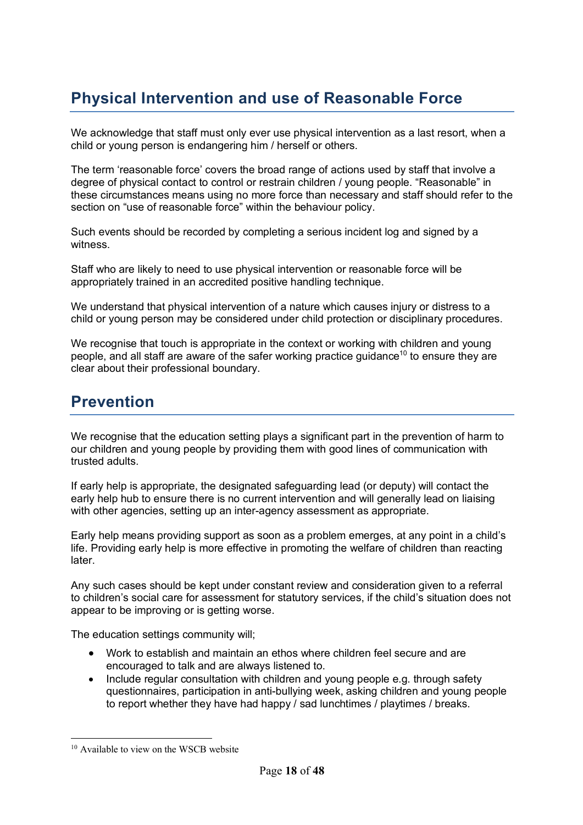# **Physical Intervention and use of Reasonable Force**

We acknowledge that staff must only ever use physical intervention as a last resort, when a child or young person is endangering him / herself or others.

The term 'reasonable force' covers the broad range of actions used by staff that involve a degree of physical contact to control or restrain children / young people. "Reasonable" in these circumstances means using no more force than necessary and staff should refer to the section on "use of reasonable force" within the behaviour policy.

Such events should be recorded by completing a serious incident log and signed by a witness.

Staff who are likely to need to use physical intervention or reasonable force will be appropriately trained in an accredited positive handling technique.

We understand that physical intervention of a nature which causes injury or distress to a child or young person may be considered under child protection or disciplinary procedures.

We recognise that touch is appropriate in the context or working with children and young people, and all staff are aware of the safer working practice guidance<sup>10</sup> to ensure they are clear about their professional boundary.

### **Prevention**

We recognise that the education setting plays a significant part in the prevention of harm to our children and young people by providing them with good lines of communication with trusted adults.

If early help is appropriate, the designated safeguarding lead (or deputy) will contact the early help hub to ensure there is no current intervention and will generally lead on liaising with other agencies, setting up an inter-agency assessment as appropriate.

Early help means providing support as soon as a problem emerges, at any point in a child's life. Providing early help is more effective in promoting the welfare of children than reacting later.

Any such cases should be kept under constant review and consideration given to a referral to children's social care for assessment for statutory services, if the child's situation does not appear to be improving or is getting worse.

The education settings community will;

- Work to establish and maintain an ethos where children feel secure and are encouraged to talk and are always listened to.
- Include regular consultation with children and young people e.g. through safety questionnaires, participation in anti-bullying week, asking children and young people to report whether they have had happy / sad lunchtimes / playtimes / breaks.

<sup>&</sup>lt;sup>10</sup> Available to view on the WSCB website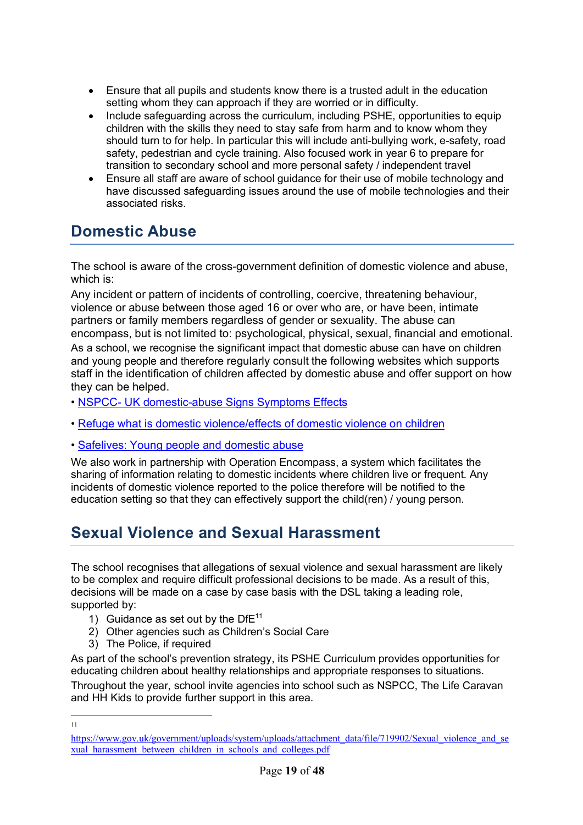- Ensure that all pupils and students know there is a trusted adult in the education setting whom they can approach if they are worried or in difficulty.
- Include safeguarding across the curriculum, including PSHE, opportunities to equip children with the skills they need to stay safe from harm and to know whom they should turn to for help. In particular this will include anti-bullying work, e-safety, road safety, pedestrian and cycle training. Also focused work in year 6 to prepare for transition to secondary school and more personal safety / independent travel
- Ensure all staff are aware of school guidance for their use of mobile technology and have discussed safeguarding issues around the use of mobile technologies and their associated risks.

### **Domestic Abuse**

The school is aware of the cross-government definition of domestic violence and abuse, which is:

Any incident or pattern of incidents of controlling, coercive, threatening behaviour, violence or abuse between those aged 16 or over who are, or have been, intimate partners or family members regardless of gender or sexuality. The abuse can encompass, but is not limited to: psychological, physical, sexual, financial and emotional. As a school, we recognise the significant impact that domestic abuse can have on children and young people and therefore regularly consult the following websites which supports staff in the identification of children affected by domestic abuse and offer support on how they can be helped.

- NSPCC- UK domestic-abuse Signs Symptoms Effects
- Refuge what is domestic violence/effects of domestic violence on children
- Safelives: Young people and domestic abuse

We also work in partnership with Operation Encompass, a system which facilitates the sharing of information relating to domestic incidents where children live or frequent. Any incidents of domestic violence reported to the police therefore will be notified to the education setting so that they can effectively support the child(ren) / young person.

### **Sexual Violence and Sexual Harassment**

The school recognises that allegations of sexual violence and sexual harassment are likely to be complex and require difficult professional decisions to be made. As a result of this, decisions will be made on a case by case basis with the DSL taking a leading role, supported by:

- 1) Guidance as set out by the  $DFE^{11}$
- 2) Other agencies such as Children's Social Care
- 3) The Police, if required

As part of the school's prevention strategy, its PSHE Curriculum provides opportunities for educating children about healthy relationships and appropriate responses to situations.

Throughout the year, school invite agencies into school such as NSPCC, The Life Caravan and HH Kids to provide further support in this area.

11

https://www.gov.uk/government/uploads/system/uploads/attachment\_data/file/719902/Sexual\_violence\_and\_se xual harassment between children in schools and colleges.pdf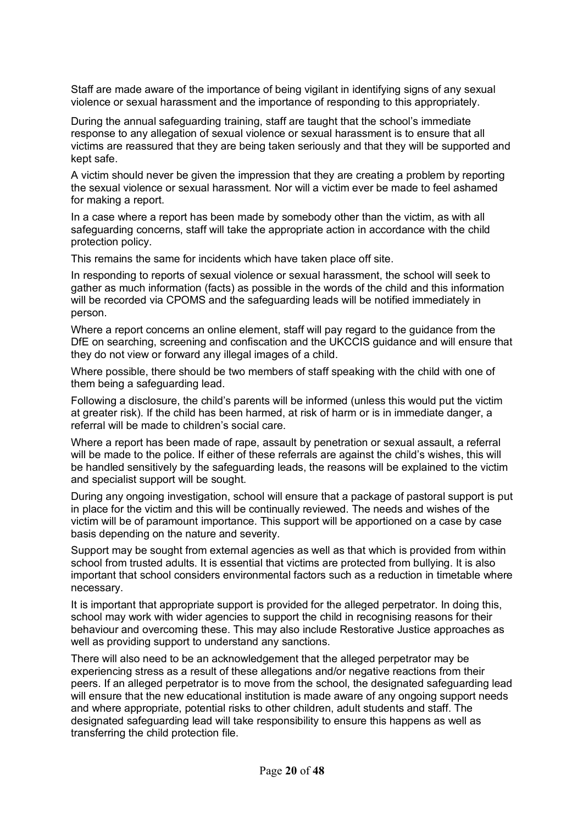Staff are made aware of the importance of being vigilant in identifying signs of any sexual violence or sexual harassment and the importance of responding to this appropriately.

During the annual safeguarding training, staff are taught that the school's immediate response to any allegation of sexual violence or sexual harassment is to ensure that all victims are reassured that they are being taken seriously and that they will be supported and kept safe.

A victim should never be given the impression that they are creating a problem by reporting the sexual violence or sexual harassment. Nor will a victim ever be made to feel ashamed for making a report.

In a case where a report has been made by somebody other than the victim, as with all safeguarding concerns, staff will take the appropriate action in accordance with the child protection policy.

This remains the same for incidents which have taken place off site.

In responding to reports of sexual violence or sexual harassment, the school will seek to gather as much information (facts) as possible in the words of the child and this information will be recorded via CPOMS and the safeguarding leads will be notified immediately in person.

Where a report concerns an online element, staff will pay regard to the guidance from the DfE on searching, screening and confiscation and the UKCCIS guidance and will ensure that they do not view or forward any illegal images of a child.

Where possible, there should be two members of staff speaking with the child with one of them being a safeguarding lead.

Following a disclosure, the child's parents will be informed (unless this would put the victim at greater risk). If the child has been harmed, at risk of harm or is in immediate danger, a referral will be made to children's social care.

Where a report has been made of rape, assault by penetration or sexual assault, a referral will be made to the police. If either of these referrals are against the child's wishes, this will be handled sensitively by the safeguarding leads, the reasons will be explained to the victim and specialist support will be sought.

During any ongoing investigation, school will ensure that a package of pastoral support is put in place for the victim and this will be continually reviewed. The needs and wishes of the victim will be of paramount importance. This support will be apportioned on a case by case basis depending on the nature and severity.

Support may be sought from external agencies as well as that which is provided from within school from trusted adults. It is essential that victims are protected from bullying. It is also important that school considers environmental factors such as a reduction in timetable where necessary.

It is important that appropriate support is provided for the alleged perpetrator. In doing this, school may work with wider agencies to support the child in recognising reasons for their behaviour and overcoming these. This may also include Restorative Justice approaches as well as providing support to understand any sanctions.

There will also need to be an acknowledgement that the alleged perpetrator may be experiencing stress as a result of these allegations and/or negative reactions from their peers. If an alleged perpetrator is to move from the school, the designated safeguarding lead will ensure that the new educational institution is made aware of any ongoing support needs and where appropriate, potential risks to other children, adult students and staff. The designated safeguarding lead will take responsibility to ensure this happens as well as transferring the child protection file.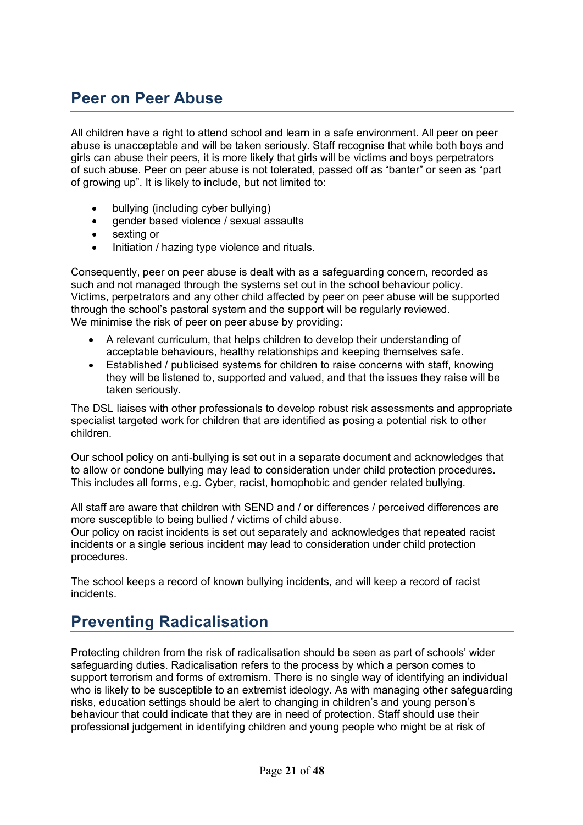# **Peer on Peer Abuse**

All children have a right to attend school and learn in a safe environment. All peer on peer abuse is unacceptable and will be taken seriously. Staff recognise that while both boys and girls can abuse their peers, it is more likely that girls will be victims and boys perpetrators of such abuse. Peer on peer abuse is not tolerated, passed off as "banter" or seen as "part of growing up". It is likely to include, but not limited to:

- bullying (including cyber bullying)
- gender based violence / sexual assaults
- sexting or
- Initiation / hazing type violence and rituals.

Consequently, peer on peer abuse is dealt with as a safeguarding concern, recorded as such and not managed through the systems set out in the school behaviour policy. Victims, perpetrators and any other child affected by peer on peer abuse will be supported through the school's pastoral system and the support will be regularly reviewed. We minimise the risk of peer on peer abuse by providing:

- A relevant curriculum, that helps children to develop their understanding of acceptable behaviours, healthy relationships and keeping themselves safe.
- Established / publicised systems for children to raise concerns with staff, knowing they will be listened to, supported and valued, and that the issues they raise will be taken seriously.

The DSL liaises with other professionals to develop robust risk assessments and appropriate specialist targeted work for children that are identified as posing a potential risk to other children.

Our school policy on anti-bullying is set out in a separate document and acknowledges that to allow or condone bullying may lead to consideration under child protection procedures. This includes all forms, e.g. Cyber, racist, homophobic and gender related bullying.

All staff are aware that children with SEND and / or differences / perceived differences are more susceptible to being bullied / victims of child abuse.

Our policy on racist incidents is set out separately and acknowledges that repeated racist incidents or a single serious incident may lead to consideration under child protection procedures.

The school keeps a record of known bullying incidents, and will keep a record of racist incidents.

### **Preventing Radicalisation**

Protecting children from the risk of radicalisation should be seen as part of schools' wider safeguarding duties. Radicalisation refers to the process by which a person comes to support terrorism and forms of extremism. There is no single way of identifying an individual who is likely to be susceptible to an extremist ideology. As with managing other safeguarding risks, education settings should be alert to changing in children's and young person's behaviour that could indicate that they are in need of protection. Staff should use their professional judgement in identifying children and young people who might be at risk of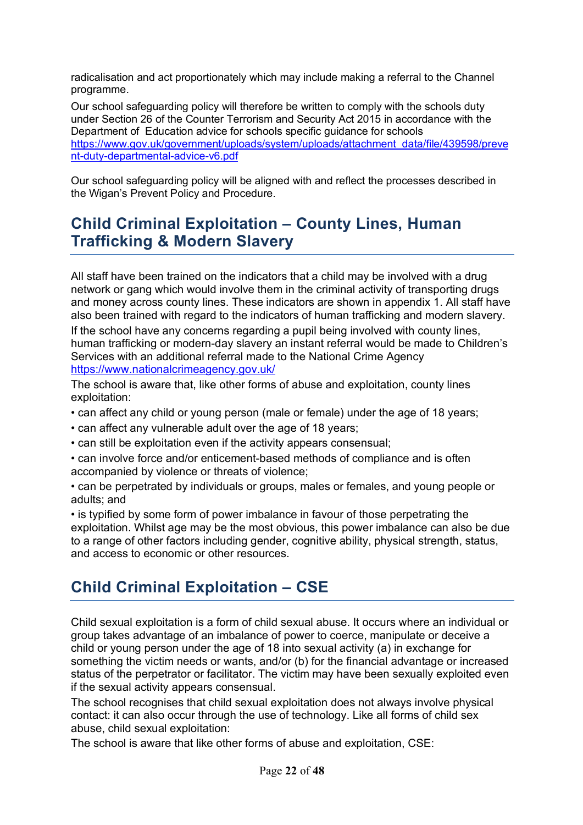radicalisation and act proportionately which may include making a referral to the Channel programme.

Our school safeguarding policy will therefore be written to comply with the schools duty under Section 26 of the Counter Terrorism and Security Act 2015 in accordance with the Department of Education advice for schools specific guidance for schools https://www.gov.uk/government/uploads/system/uploads/attachment\_data/file/439598/preve nt-duty-departmental-advice-v6.pdf

Our school safeguarding policy will be aligned with and reflect the processes described in the Wigan's Prevent Policy and Procedure.

# **Child Criminal Exploitation – County Lines, Human Trafficking & Modern Slavery**

All staff have been trained on the indicators that a child may be involved with a drug network or gang which would involve them in the criminal activity of transporting drugs and money across county lines. These indicators are shown in appendix 1. All staff have also been trained with regard to the indicators of human trafficking and modern slavery.

If the school have any concerns regarding a pupil being involved with county lines, human trafficking or modern-day slavery an instant referral would be made to Children's Services with an additional referral made to the National Crime Agency https://www.nationalcrimeagency.gov.uk/

The school is aware that, like other forms of abuse and exploitation, county lines exploitation:

- can affect any child or young person (male or female) under the age of 18 years;
- can affect any vulnerable adult over the age of 18 years;
- can still be exploitation even if the activity appears consensual;
- can involve force and/or enticement-based methods of compliance and is often accompanied by violence or threats of violence;
- can be perpetrated by individuals or groups, males or females, and young people or adults; and

• is typified by some form of power imbalance in favour of those perpetrating the exploitation. Whilst age may be the most obvious, this power imbalance can also be due to a range of other factors including gender, cognitive ability, physical strength, status, and access to economic or other resources.

# **Child Criminal Exploitation – CSE**

Child sexual exploitation is a form of child sexual abuse. It occurs where an individual or group takes advantage of an imbalance of power to coerce, manipulate or deceive a child or young person under the age of 18 into sexual activity (a) in exchange for something the victim needs or wants, and/or (b) for the financial advantage or increased status of the perpetrator or facilitator. The victim may have been sexually exploited even if the sexual activity appears consensual.

The school recognises that child sexual exploitation does not always involve physical contact: it can also occur through the use of technology. Like all forms of child sex abuse, child sexual exploitation:

The school is aware that like other forms of abuse and exploitation, CSE: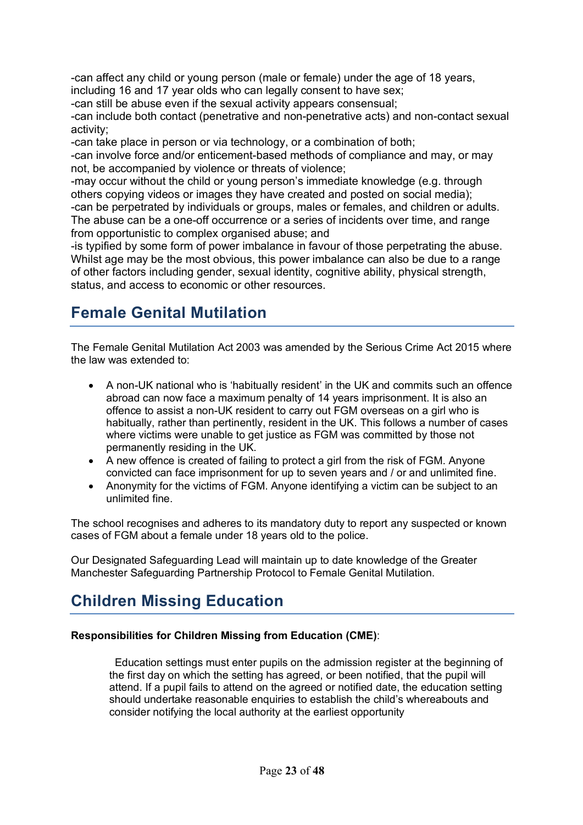-can affect any child or young person (male or female) under the age of 18 years, including 16 and 17 year olds who can legally consent to have sex;

-can still be abuse even if the sexual activity appears consensual;

-can include both contact (penetrative and non-penetrative acts) and non-contact sexual activity;

-can take place in person or via technology, or a combination of both;

-can involve force and/or enticement-based methods of compliance and may, or may not, be accompanied by violence or threats of violence;

-may occur without the child or young person's immediate knowledge (e.g. through others copying videos or images they have created and posted on social media); -can be perpetrated by individuals or groups, males or females, and children or adults. The abuse can be a one-off occurrence or a series of incidents over time, and range from opportunistic to complex organised abuse; and

-is typified by some form of power imbalance in favour of those perpetrating the abuse. Whilst age may be the most obvious, this power imbalance can also be due to a range of other factors including gender, sexual identity, cognitive ability, physical strength, status, and access to economic or other resources.

# **Female Genital Mutilation**

The Female Genital Mutilation Act 2003 was amended by the Serious Crime Act 2015 where the law was extended to:

- A non-UK national who is 'habitually resident' in the UK and commits such an offence abroad can now face a maximum penalty of 14 years imprisonment. It is also an offence to assist a non-UK resident to carry out FGM overseas on a girl who is habitually, rather than pertinently, resident in the UK. This follows a number of cases where victims were unable to get justice as FGM was committed by those not permanently residing in the UK.
- A new offence is created of failing to protect a girl from the risk of FGM. Anyone convicted can face imprisonment for up to seven years and / or and unlimited fine.
- Anonymity for the victims of FGM. Anyone identifying a victim can be subject to an unlimited fine.

The school recognises and adheres to its mandatory duty to report any suspected or known cases of FGM about a female under 18 years old to the police.

Our Designated Safeguarding Lead will maintain up to date knowledge of the Greater Manchester Safeguarding Partnership Protocol to Female Genital Mutilation.

### **Children Missing Education**

#### **Responsibilities for Children Missing from Education (CME)**:

 Education settings must enter pupils on the admission register at the beginning of the first day on which the setting has agreed, or been notified, that the pupil will attend. If a pupil fails to attend on the agreed or notified date, the education setting should undertake reasonable enquiries to establish the child's whereabouts and consider notifying the local authority at the earliest opportunity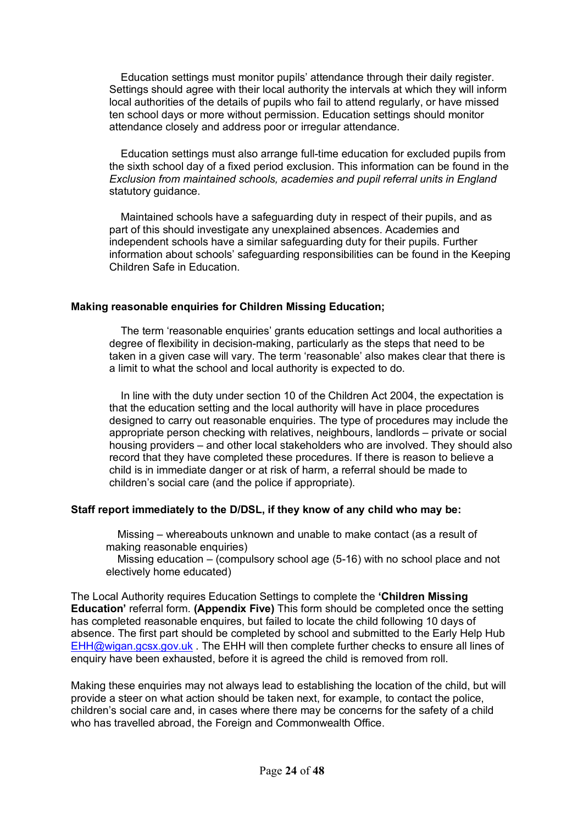Education settings must monitor pupils' attendance through their daily register. Settings should agree with their local authority the intervals at which they will inform local authorities of the details of pupils who fail to attend regularly, or have missed ten school days or more without permission. Education settings should monitor attendance closely and address poor or irregular attendance.

 Education settings must also arrange full-time education for excluded pupils from the sixth school day of a fixed period exclusion. This information can be found in the *Exclusion from maintained schools, academies and pupil referral units in England*  statutory guidance.

 Maintained schools have a safeguarding duty in respect of their pupils, and as part of this should investigate any unexplained absences. Academies and independent schools have a similar safeguarding duty for their pupils. Further information about schools' safeguarding responsibilities can be found in the Keeping Children Safe in Education.

#### **Making reasonable enquiries for Children Missing Education;**

 The term 'reasonable enquiries' grants education settings and local authorities a degree of flexibility in decision-making, particularly as the steps that need to be taken in a given case will vary. The term 'reasonable' also makes clear that there is a limit to what the school and local authority is expected to do.

 In line with the duty under section 10 of the Children Act 2004, the expectation is that the education setting and the local authority will have in place procedures designed to carry out reasonable enquiries. The type of procedures may include the appropriate person checking with relatives, neighbours, landlords – private or social housing providers – and other local stakeholders who are involved. They should also record that they have completed these procedures. If there is reason to believe a child is in immediate danger or at risk of harm, a referral should be made to children's social care (and the police if appropriate).

#### **Staff report immediately to the D/DSL, if they know of any child who may be:**

 Missing – whereabouts unknown and unable to make contact (as a result of making reasonable enquiries)

 Missing education – (compulsory school age (5-16) with no school place and not electively home educated)

The Local Authority requires Education Settings to complete the **'Children Missing Education'** referral form. **(Appendix Five)** This form should be completed once the setting has completed reasonable enquires, but failed to locate the child following 10 days of absence. The first part should be completed by school and submitted to the Early Help Hub EHH@wigan.gcsx.gov.uk . The EHH will then complete further checks to ensure all lines of enquiry have been exhausted, before it is agreed the child is removed from roll.

Making these enquiries may not always lead to establishing the location of the child, but will provide a steer on what action should be taken next, for example, to contact the police, children's social care and, in cases where there may be concerns for the safety of a child who has travelled abroad, the Foreign and Commonwealth Office.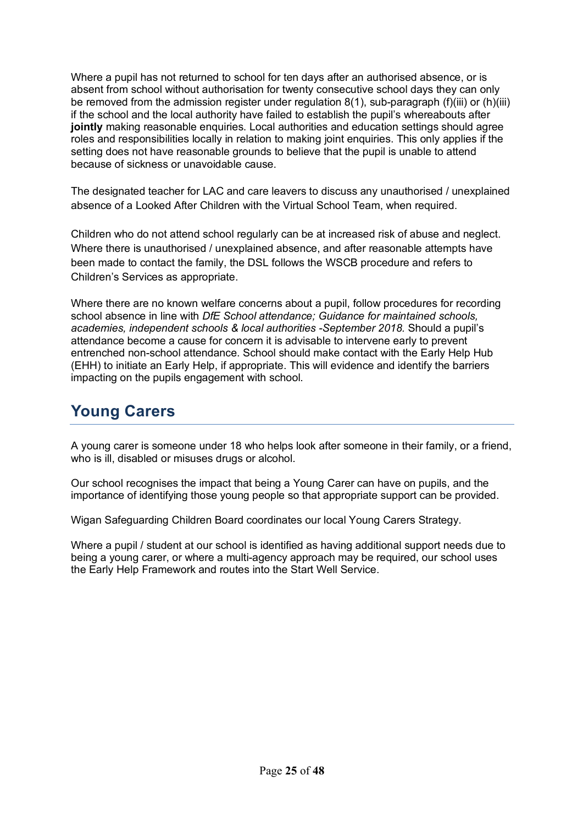Where a pupil has not returned to school for ten days after an authorised absence, or is absent from school without authorisation for twenty consecutive school days they can only be removed from the admission register under regulation 8(1), sub-paragraph (f)(iii) or (h)(iii) if the school and the local authority have failed to establish the pupil's whereabouts after **jointly** making reasonable enquiries. Local authorities and education settings should agree roles and responsibilities locally in relation to making joint enquiries. This only applies if the setting does not have reasonable grounds to believe that the pupil is unable to attend because of sickness or unavoidable cause.

The designated teacher for LAC and care leavers to discuss any unauthorised / unexplained absence of a Looked After Children with the Virtual School Team, when required.

Children who do not attend school regularly can be at increased risk of abuse and neglect. Where there is unauthorised / unexplained absence, and after reasonable attempts have been made to contact the family, the DSL follows the WSCB procedure and refers to Children's Services as appropriate.

Where there are no known welfare concerns about a pupil, follow procedures for recording school absence in line with *DfE School attendance; Guidance for maintained schools, academies, independent schools & local authorities -September 2018.* Should a pupil's attendance become a cause for concern it is advisable to intervene early to prevent entrenched non-school attendance. School should make contact with the Early Help Hub (EHH) to initiate an Early Help, if appropriate. This will evidence and identify the barriers impacting on the pupils engagement with school.

### **Young Carers**

A young carer is someone under 18 who helps look after someone in their family, or a friend, who is ill, disabled or misuses drugs or alcohol.

Our school recognises the impact that being a Young Carer can have on pupils, and the importance of identifying those young people so that appropriate support can be provided.

Wigan Safeguarding Children Board coordinates our local Young Carers Strategy.

Where a pupil / student at our school is identified as having additional support needs due to being a young carer, or where a multi-agency approach may be required, our school uses the Early Help Framework and routes into the Start Well Service.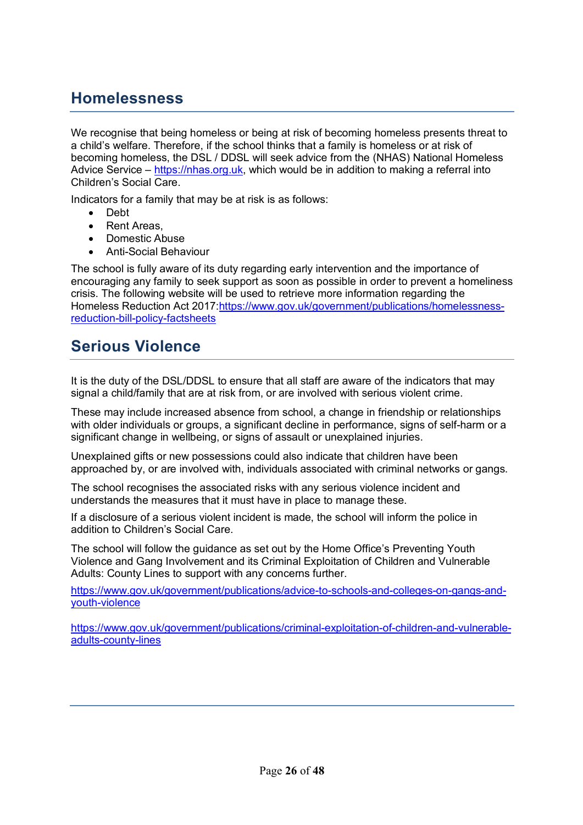# **Homelessness**

We recognise that being homeless or being at risk of becoming homeless presents threat to a child's welfare. Therefore, if the school thinks that a family is homeless or at risk of becoming homeless, the DSL / DDSL will seek advice from the (NHAS) National Homeless Advice Service – https://nhas.org.uk, which would be in addition to making a referral into Children's Social Care.

Indicators for a family that may be at risk is as follows:

- Debt
- Rent Areas.
- Domestic Abuse
- Anti-Social Behaviour

The school is fully aware of its duty regarding early intervention and the importance of encouraging any family to seek support as soon as possible in order to prevent a homeliness crisis. The following website will be used to retrieve more information regarding the Homeless Reduction Act 2017: https://www.gov.uk/government/publications/homelessnessreduction-bill-policy-factsheets

### **Serious Violence**

It is the duty of the DSL/DDSL to ensure that all staff are aware of the indicators that may signal a child/family that are at risk from, or are involved with serious violent crime.

These may include increased absence from school, a change in friendship or relationships with older individuals or groups, a significant decline in performance, signs of self-harm or a significant change in wellbeing, or signs of assault or unexplained injuries.

Unexplained gifts or new possessions could also indicate that children have been approached by, or are involved with, individuals associated with criminal networks or gangs.

The school recognises the associated risks with any serious violence incident and understands the measures that it must have in place to manage these.

If a disclosure of a serious violent incident is made, the school will inform the police in addition to Children's Social Care.

The school will follow the guidance as set out by the Home Office's Preventing Youth Violence and Gang Involvement and its Criminal Exploitation of Children and Vulnerable Adults: County Lines to support with any concerns further.

https://www.gov.uk/government/publications/advice-to-schools-and-colleges-on-gangs-andyouth-violence

https://www.gov.uk/government/publications/criminal-exploitation-of-children-and-vulnerableadults-county-lines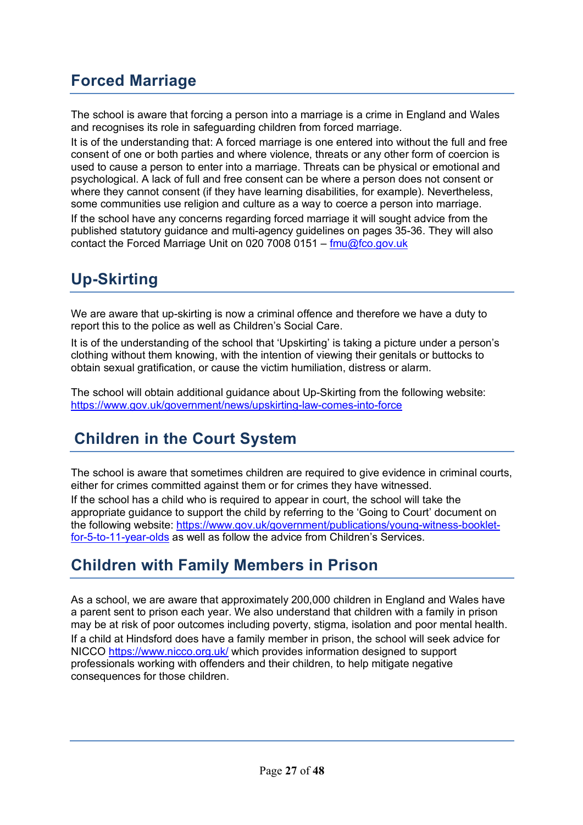# **Forced Marriage**

The school is aware that forcing a person into a marriage is a crime in England and Wales and recognises its role in safeguarding children from forced marriage.

It is of the understanding that: A forced marriage is one entered into without the full and free consent of one or both parties and where violence, threats or any other form of coercion is used to cause a person to enter into a marriage. Threats can be physical or emotional and psychological. A lack of full and free consent can be where a person does not consent or where they cannot consent (if they have learning disabilities, for example). Nevertheless, some communities use religion and culture as a way to coerce a person into marriage.

If the school have any concerns regarding forced marriage it will sought advice from the published statutory guidance and multi-agency guidelines on pages 35-36. They will also contact the Forced Marriage Unit on 020 7008 0151 –  $\frac{f_{\text{mu}}}{dt_{\text{co.9}}}$ 

# **Up-Skirting**

We are aware that up-skirting is now a criminal offence and therefore we have a duty to report this to the police as well as Children's Social Care.

It is of the understanding of the school that 'Upskirting' is taking a picture under a person's clothing without them knowing, with the intention of viewing their genitals or buttocks to obtain sexual gratification, or cause the victim humiliation, distress or alarm.

The school will obtain additional guidance about Up-Skirting from the following website: https://www.gov.uk/government/news/upskirting-law-comes-into-force

# **Children in the Court System**

The school is aware that sometimes children are required to give evidence in criminal courts, either for crimes committed against them or for crimes they have witnessed.

If the school has a child who is required to appear in court, the school will take the appropriate guidance to support the child by referring to the 'Going to Court' document on the following website: https://www.gov.uk/government/publications/young-witness-bookletfor-5-to-11-year-olds as well as follow the advice from Children's Services.

### **Children with Family Members in Prison**

As a school, we are aware that approximately 200,000 children in England and Wales have a parent sent to prison each year. We also understand that children with a family in prison may be at risk of poor outcomes including poverty, stigma, isolation and poor mental health. If a child at Hindsford does have a family member in prison, the school will seek advice for NICCO https://www.nicco.org.uk/ which provides information designed to support professionals working with offenders and their children, to help mitigate negative consequences for those children.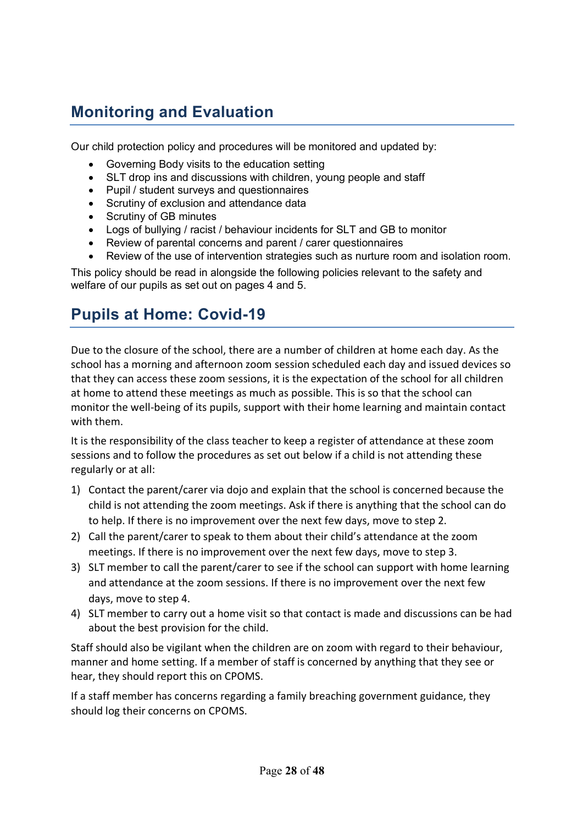# **Monitoring and Evaluation**

Our child protection policy and procedures will be monitored and updated by:

- Governing Body visits to the education setting
- SLT drop ins and discussions with children, young people and staff
- Pupil / student surveys and questionnaires
- Scrutiny of exclusion and attendance data
- Scrutiny of GB minutes
- Logs of bullying / racist / behaviour incidents for SLT and GB to monitor
- Review of parental concerns and parent / carer questionnaires
- Review of the use of intervention strategies such as nurture room and isolation room.

This policy should be read in alongside the following policies relevant to the safety and welfare of our pupils as set out on pages 4 and 5.

# **Pupils at Home: Covid-19**

Due to the closure of the school, there are a number of children at home each day. As the school has a morning and afternoon zoom session scheduled each day and issued devices so that they can access these zoom sessions, it is the expectation of the school for all children at home to attend these meetings as much as possible. This is so that the school can monitor the well-being of its pupils, support with their home learning and maintain contact with them.

It is the responsibility of the class teacher to keep a register of attendance at these zoom sessions and to follow the procedures as set out below if a child is not attending these regularly or at all:

- 1) Contact the parent/carer via dojo and explain that the school is concerned because the child is not attending the zoom meetings. Ask if there is anything that the school can do to help. If there is no improvement over the next few days, move to step 2.
- 2) Call the parent/carer to speak to them about their child's attendance at the zoom meetings. If there is no improvement over the next few days, move to step 3.
- 3) SLT member to call the parent/carer to see if the school can support with home learning and attendance at the zoom sessions. If there is no improvement over the next few days, move to step 4.
- 4) SLT member to carry out a home visit so that contact is made and discussions can be had about the best provision for the child.

Staff should also be vigilant when the children are on zoom with regard to their behaviour, manner and home setting. If a member of staff is concerned by anything that they see or hear, they should report this on CPOMS.

If a staff member has concerns regarding a family breaching government guidance, they should log their concerns on CPOMS.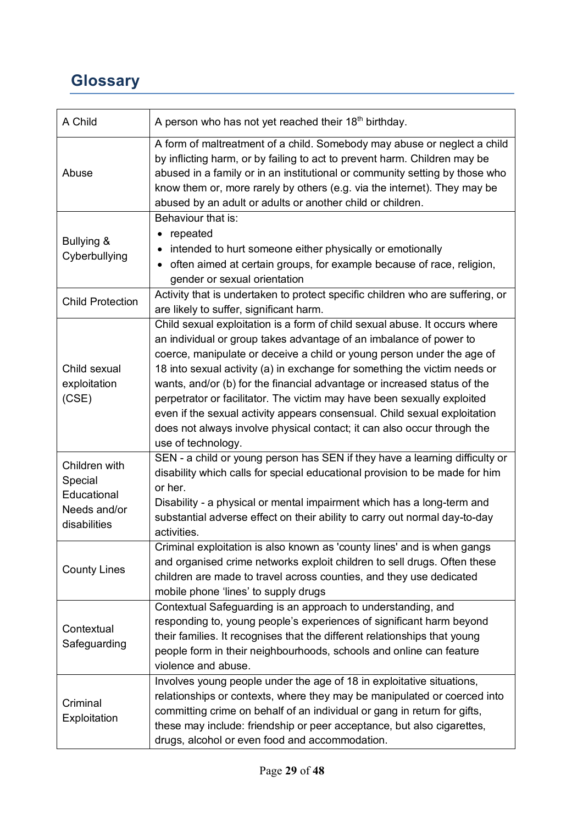# **Glossary**

| A Child                                                                 | A person who has not yet reached their 18 <sup>th</sup> birthday.                                                                                                                                                                                                                                                                                                                                                                                                                                                                                                                                                                            |
|-------------------------------------------------------------------------|----------------------------------------------------------------------------------------------------------------------------------------------------------------------------------------------------------------------------------------------------------------------------------------------------------------------------------------------------------------------------------------------------------------------------------------------------------------------------------------------------------------------------------------------------------------------------------------------------------------------------------------------|
| Abuse                                                                   | A form of maltreatment of a child. Somebody may abuse or neglect a child<br>by inflicting harm, or by failing to act to prevent harm. Children may be<br>abused in a family or in an institutional or community setting by those who<br>know them or, more rarely by others (e.g. via the internet). They may be<br>abused by an adult or adults or another child or children.                                                                                                                                                                                                                                                               |
| Bullying &<br>Cyberbullying                                             | Behaviour that is:<br>repeated<br>intended to hurt someone either physically or emotionally<br>often aimed at certain groups, for example because of race, religion,<br>gender or sexual orientation                                                                                                                                                                                                                                                                                                                                                                                                                                         |
| <b>Child Protection</b>                                                 | Activity that is undertaken to protect specific children who are suffering, or<br>are likely to suffer, significant harm.                                                                                                                                                                                                                                                                                                                                                                                                                                                                                                                    |
| Child sexual<br>exploitation<br>(CSE)                                   | Child sexual exploitation is a form of child sexual abuse. It occurs where<br>an individual or group takes advantage of an imbalance of power to<br>coerce, manipulate or deceive a child or young person under the age of<br>18 into sexual activity (a) in exchange for something the victim needs or<br>wants, and/or (b) for the financial advantage or increased status of the<br>perpetrator or facilitator. The victim may have been sexually exploited<br>even if the sexual activity appears consensual. Child sexual exploitation<br>does not always involve physical contact; it can also occur through the<br>use of technology. |
| Children with<br>Special<br>Educational<br>Needs and/or<br>disabilities | SEN - a child or young person has SEN if they have a learning difficulty or<br>disability which calls for special educational provision to be made for him<br>or her.<br>Disability - a physical or mental impairment which has a long-term and<br>substantial adverse effect on their ability to carry out normal day-to-day<br>activities.                                                                                                                                                                                                                                                                                                 |
| <b>County Lines</b>                                                     | Criminal exploitation is also known as 'county lines' and is when gangs<br>and organised crime networks exploit children to sell drugs. Often these<br>children are made to travel across counties, and they use dedicated<br>mobile phone 'lines' to supply drugs                                                                                                                                                                                                                                                                                                                                                                           |
| Contextual<br>Safeguarding                                              | Contextual Safeguarding is an approach to understanding, and<br>responding to, young people's experiences of significant harm beyond<br>their families. It recognises that the different relationships that young<br>people form in their neighbourhoods, schools and online can feature<br>violence and abuse.                                                                                                                                                                                                                                                                                                                              |
| Criminal<br>Exploitation                                                | Involves young people under the age of 18 in exploitative situations,<br>relationships or contexts, where they may be manipulated or coerced into<br>committing crime on behalf of an individual or gang in return for gifts,<br>these may include: friendship or peer acceptance, but also cigarettes,<br>drugs, alcohol or even food and accommodation.                                                                                                                                                                                                                                                                                    |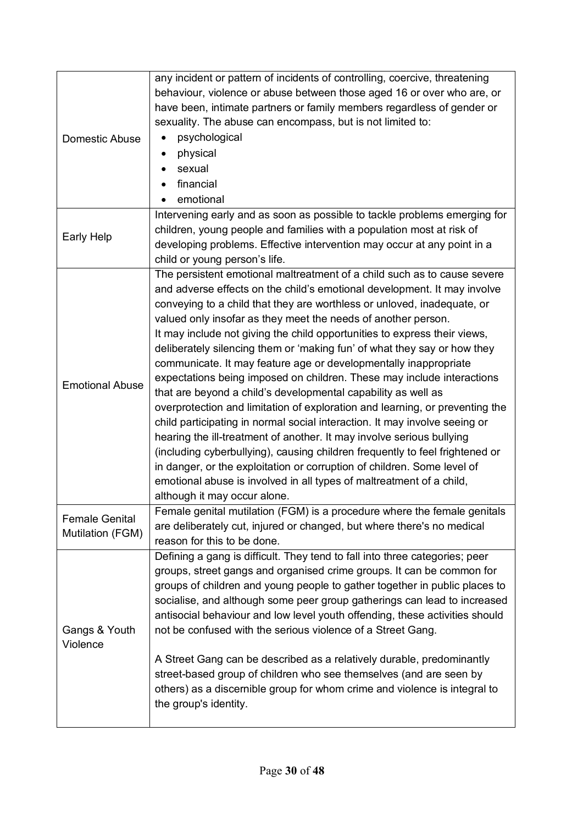| Domestic Abuse                            | any incident or pattern of incidents of controlling, coercive, threatening<br>behaviour, violence or abuse between those aged 16 or over who are, or<br>have been, intimate partners or family members regardless of gender or<br>sexuality. The abuse can encompass, but is not limited to:<br>psychological<br>physical<br>٠<br>sexual<br>financial<br>emotional<br>Intervening early and as soon as possible to tackle problems emerging for                                                                                                                                                                                                                                                                                                                                                                                                                                                                                                                                                                                                                                                                                                                                    |
|-------------------------------------------|------------------------------------------------------------------------------------------------------------------------------------------------------------------------------------------------------------------------------------------------------------------------------------------------------------------------------------------------------------------------------------------------------------------------------------------------------------------------------------------------------------------------------------------------------------------------------------------------------------------------------------------------------------------------------------------------------------------------------------------------------------------------------------------------------------------------------------------------------------------------------------------------------------------------------------------------------------------------------------------------------------------------------------------------------------------------------------------------------------------------------------------------------------------------------------|
| Early Help                                | children, young people and families with a population most at risk of<br>developing problems. Effective intervention may occur at any point in a<br>child or young person's life.                                                                                                                                                                                                                                                                                                                                                                                                                                                                                                                                                                                                                                                                                                                                                                                                                                                                                                                                                                                                  |
| <b>Emotional Abuse</b>                    | The persistent emotional maltreatment of a child such as to cause severe<br>and adverse effects on the child's emotional development. It may involve<br>conveying to a child that they are worthless or unloved, inadequate, or<br>valued only insofar as they meet the needs of another person.<br>It may include not giving the child opportunities to express their views,<br>deliberately silencing them or 'making fun' of what they say or how they<br>communicate. It may feature age or developmentally inappropriate<br>expectations being imposed on children. These may include interactions<br>that are beyond a child's developmental capability as well as<br>overprotection and limitation of exploration and learning, or preventing the<br>child participating in normal social interaction. It may involve seeing or<br>hearing the ill-treatment of another. It may involve serious bullying<br>(including cyberbullying), causing children frequently to feel frightened or<br>in danger, or the exploitation or corruption of children. Some level of<br>emotional abuse is involved in all types of maltreatment of a child,<br>although it may occur alone. |
| <b>Female Genital</b><br>Mutilation (FGM) | Female genital mutilation (FGM) is a procedure where the female genitals<br>are deliberately cut, injured or changed, but where there's no medical<br>reason for this to be done.                                                                                                                                                                                                                                                                                                                                                                                                                                                                                                                                                                                                                                                                                                                                                                                                                                                                                                                                                                                                  |
| Gangs & Youth<br>Violence                 | Defining a gang is difficult. They tend to fall into three categories; peer<br>groups, street gangs and organised crime groups. It can be common for<br>groups of children and young people to gather together in public places to<br>socialise, and although some peer group gatherings can lead to increased<br>antisocial behaviour and low level youth offending, these activities should<br>not be confused with the serious violence of a Street Gang.<br>A Street Gang can be described as a relatively durable, predominantly<br>street-based group of children who see themselves (and are seen by<br>others) as a discernible group for whom crime and violence is integral to<br>the group's identity.                                                                                                                                                                                                                                                                                                                                                                                                                                                                  |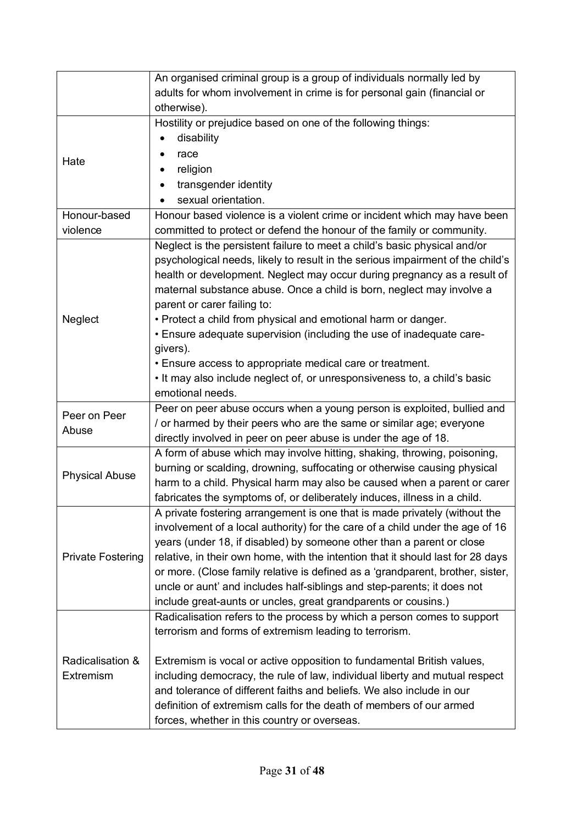|                          | An organised criminal group is a group of individuals normally led by                                                                   |
|--------------------------|-----------------------------------------------------------------------------------------------------------------------------------------|
|                          | adults for whom involvement in crime is for personal gain (financial or                                                                 |
|                          | otherwise).                                                                                                                             |
|                          | Hostility or prejudice based on one of the following things:                                                                            |
|                          | disability                                                                                                                              |
| Hate                     | race                                                                                                                                    |
|                          | religion                                                                                                                                |
|                          | transgender identity<br>٠                                                                                                               |
|                          | sexual orientation.                                                                                                                     |
| Honour-based             | Honour based violence is a violent crime or incident which may have been                                                                |
| violence                 | committed to protect or defend the honour of the family or community.                                                                   |
|                          | Neglect is the persistent failure to meet a child's basic physical and/or                                                               |
|                          | psychological needs, likely to result in the serious impairment of the child's                                                          |
|                          | health or development. Neglect may occur during pregnancy as a result of                                                                |
|                          | maternal substance abuse. Once a child is born, neglect may involve a                                                                   |
|                          | parent or carer failing to:                                                                                                             |
| Neglect                  | • Protect a child from physical and emotional harm or danger.                                                                           |
|                          | . Ensure adequate supervision (including the use of inadequate care-                                                                    |
|                          | givers).                                                                                                                                |
|                          | . Ensure access to appropriate medical care or treatment.                                                                               |
|                          | . It may also include neglect of, or unresponsiveness to, a child's basic                                                               |
|                          | emotional needs.                                                                                                                        |
| Peer on Peer             | Peer on peer abuse occurs when a young person is exploited, bullied and                                                                 |
| Abuse                    | / or harmed by their peers who are the same or similar age; everyone<br>directly involved in peer on peer abuse is under the age of 18. |
|                          | A form of abuse which may involve hitting, shaking, throwing, poisoning,                                                                |
|                          | burning or scalding, drowning, suffocating or otherwise causing physical                                                                |
| <b>Physical Abuse</b>    | harm to a child. Physical harm may also be caused when a parent or carer                                                                |
|                          | fabricates the symptoms of, or deliberately induces, illness in a child.                                                                |
|                          | A private fostering arrangement is one that is made privately (without the                                                              |
|                          | involvement of a local authority) for the care of a child under the age of 16                                                           |
|                          | years (under 18, if disabled) by someone other than a parent or close                                                                   |
| <b>Private Fostering</b> | relative, in their own home, with the intention that it should last for 28 days                                                         |
|                          | or more. (Close family relative is defined as a 'grandparent, brother, sister,                                                          |
|                          | uncle or aunt' and includes half-siblings and step-parents; it does not                                                                 |
|                          | include great-aunts or uncles, great grandparents or cousins.)                                                                          |
|                          | Radicalisation refers to the process by which a person comes to support                                                                 |
|                          | terrorism and forms of extremism leading to terrorism.                                                                                  |
|                          |                                                                                                                                         |
| Radicalisation &         | Extremism is vocal or active opposition to fundamental British values,                                                                  |
| Extremism                | including democracy, the rule of law, individual liberty and mutual respect                                                             |
|                          | and tolerance of different faiths and beliefs. We also include in our                                                                   |
|                          | definition of extremism calls for the death of members of our armed                                                                     |
|                          | forces, whether in this country or overseas.                                                                                            |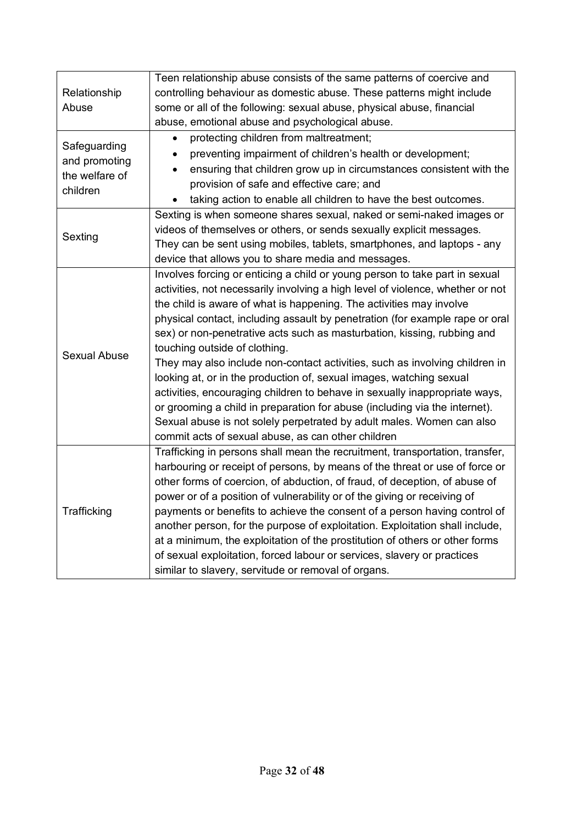|                     | Teen relationship abuse consists of the same patterns of coercive and            |  |  |
|---------------------|----------------------------------------------------------------------------------|--|--|
| Relationship        | controlling behaviour as domestic abuse. These patterns might include            |  |  |
| Abuse               | some or all of the following: sexual abuse, physical abuse, financial            |  |  |
|                     | abuse, emotional abuse and psychological abuse.                                  |  |  |
|                     | protecting children from maltreatment;<br>$\bullet$                              |  |  |
| Safeguarding        | preventing impairment of children's health or development;                       |  |  |
| and promoting       | ensuring that children grow up in circumstances consistent with the<br>$\bullet$ |  |  |
| the welfare of      | provision of safe and effective care; and                                        |  |  |
| children            | taking action to enable all children to have the best outcomes.                  |  |  |
|                     | Sexting is when someone shares sexual, naked or semi-naked images or             |  |  |
|                     | videos of themselves or others, or sends sexually explicit messages.             |  |  |
| Sexting             | They can be sent using mobiles, tablets, smartphones, and laptops - any          |  |  |
|                     | device that allows you to share media and messages.                              |  |  |
|                     | Involves forcing or enticing a child or young person to take part in sexual      |  |  |
|                     | activities, not necessarily involving a high level of violence, whether or not   |  |  |
|                     | the child is aware of what is happening. The activities may involve              |  |  |
|                     | physical contact, including assault by penetration (for example rape or oral     |  |  |
|                     | sex) or non-penetrative acts such as masturbation, kissing, rubbing and          |  |  |
| <b>Sexual Abuse</b> | touching outside of clothing.                                                    |  |  |
|                     | They may also include non-contact activities, such as involving children in      |  |  |
|                     | looking at, or in the production of, sexual images, watching sexual              |  |  |
|                     | activities, encouraging children to behave in sexually inappropriate ways,       |  |  |
|                     | or grooming a child in preparation for abuse (including via the internet).       |  |  |
|                     | Sexual abuse is not solely perpetrated by adult males. Women can also            |  |  |
|                     | commit acts of sexual abuse, as can other children                               |  |  |
|                     | Trafficking in persons shall mean the recruitment, transportation, transfer,     |  |  |
|                     | harbouring or receipt of persons, by means of the threat or use of force or      |  |  |
|                     | other forms of coercion, of abduction, of fraud, of deception, of abuse of       |  |  |
| Trafficking         | power or of a position of vulnerability or of the giving or receiving of         |  |  |
|                     | payments or benefits to achieve the consent of a person having control of        |  |  |
|                     | another person, for the purpose of exploitation. Exploitation shall include,     |  |  |
|                     | at a minimum, the exploitation of the prostitution of others or other forms      |  |  |
|                     | of sexual exploitation, forced labour or services, slavery or practices          |  |  |
|                     | similar to slavery, servitude or removal of organs.                              |  |  |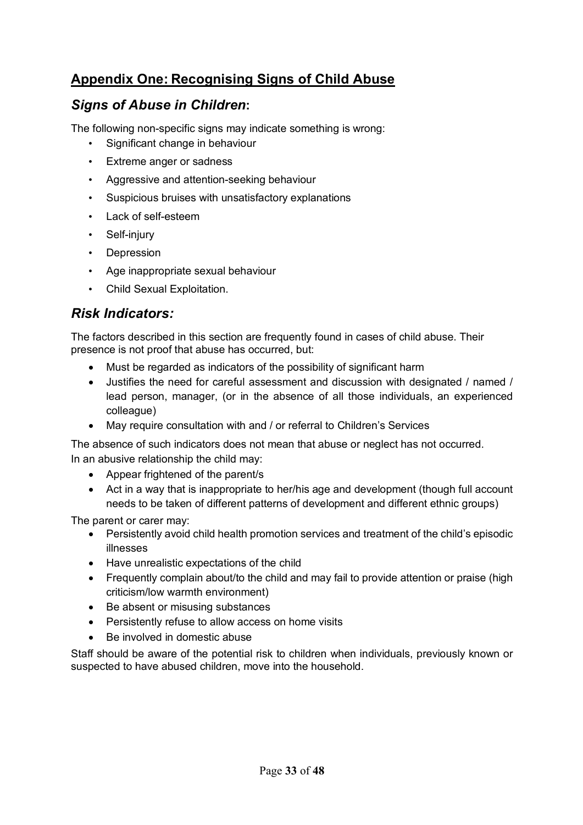### **Appendix One: Recognising Signs of Child Abuse**

### *Signs of Abuse in Children***:**

The following non-specific signs may indicate something is wrong:

- Significant change in behaviour
- Extreme anger or sadness
- Aggressive and attention-seeking behaviour
- Suspicious bruises with unsatisfactory explanations
- Lack of self-esteem
- Self-injury
- Depression
- Age inappropriate sexual behaviour
- Child Sexual Exploitation.

### *Risk Indicators:*

The factors described in this section are frequently found in cases of child abuse. Their presence is not proof that abuse has occurred, but:

- Must be regarded as indicators of the possibility of significant harm
- Justifies the need for careful assessment and discussion with designated / named / lead person, manager, (or in the absence of all those individuals, an experienced colleague)
- May require consultation with and / or referral to Children's Services

The absence of such indicators does not mean that abuse or neglect has not occurred. In an abusive relationship the child may:

- Appear frightened of the parent/s
- Act in a way that is inappropriate to her/his age and development (though full account needs to be taken of different patterns of development and different ethnic groups)

The parent or carer may:

- Persistently avoid child health promotion services and treatment of the child's episodic illnesses
- Have unrealistic expectations of the child
- Frequently complain about/to the child and may fail to provide attention or praise (high criticism/low warmth environment)
- Be absent or misusing substances
- Persistently refuse to allow access on home visits
- Be involved in domestic abuse

Staff should be aware of the potential risk to children when individuals, previously known or suspected to have abused children, move into the household.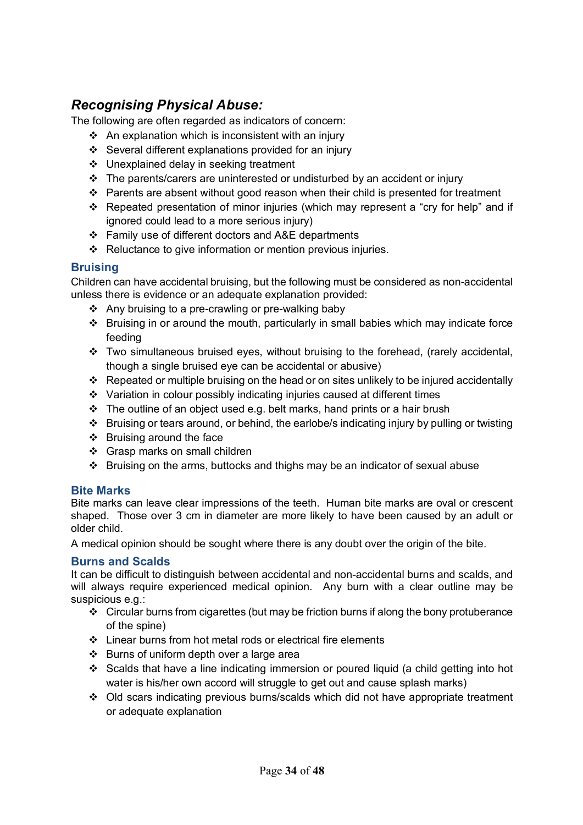### *Recognising Physical Abuse:*

The following are often regarded as indicators of concern:

- $\div$  An explanation which is inconsistent with an injury
- $\div$  Several different explanations provided for an injury
- ❖ Unexplained delay in seeking treatment
- $\cdot \cdot$  The parents/carers are uninterested or undisturbed by an accident or injury
- $\div$  Parents are absent without good reason when their child is presented for treatment
- \* Repeated presentation of minor injuries (which may represent a "cry for help" and if ignored could lead to a more serious injury)
- $\div$  Family use of different doctors and A&E departments
- $\div$  Reluctance to give information or mention previous injuries.

#### **Bruising**

Children can have accidental bruising, but the following must be considered as non-accidental unless there is evidence or an adequate explanation provided:

- $\div$  Any bruising to a pre-crawling or pre-walking baby
- \* Bruising in or around the mouth, particularly in small babies which may indicate force feeding
- $\cdot \cdot$  Two simultaneous bruised eyes, without bruising to the forehead, (rarely accidental, though a single bruised eye can be accidental or abusive)
- \* Repeated or multiple bruising on the head or on sites unlikely to be injured accidentally
- v Variation in colour possibly indicating injuries caused at different times
- $\cdot \cdot$  The outline of an object used e.g. belt marks, hand prints or a hair brush
- \* Bruising or tears around, or behind, the earlobe/s indicating injury by pulling or twisting
- $\div$  Bruising around the face
- ❖ Grasp marks on small children
- $\div$  Bruising on the arms, buttocks and thighs may be an indicator of sexual abuse

#### **Bite Marks**

Bite marks can leave clear impressions of the teeth. Human bite marks are oval or crescent shaped. Those over 3 cm in diameter are more likely to have been caused by an adult or older child.

A medical opinion should be sought where there is any doubt over the origin of the bite.

#### **Burns and Scalds**

It can be difficult to distinguish between accidental and non-accidental burns and scalds, and will always require experienced medical opinion. Any burn with a clear outline may be suspicious e.g.:

- $\div$  Circular burns from cigarettes (but may be friction burns if along the bony protuberance of the spine)
- $\div$  Linear burns from hot metal rods or electrical fire elements
- $\div$  Burns of uniform depth over a large area
- $\div$  Scalds that have a line indicating immersion or poured liquid (a child getting into hot water is his/her own accord will struggle to get out and cause splash marks)
- Old scars indicating previous burns/scalds which did not have appropriate treatment or adequate explanation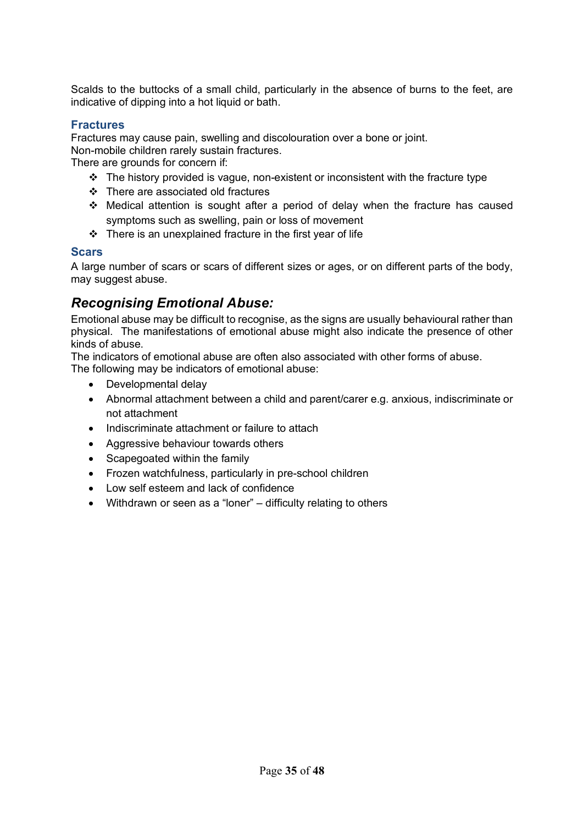Scalds to the buttocks of a small child, particularly in the absence of burns to the feet, are indicative of dipping into a hot liquid or bath.

#### **Fractures**

Fractures may cause pain, swelling and discolouration over a bone or joint.

Non-mobile children rarely sustain fractures.

There are grounds for concern if:

- $\cdot \cdot$  The history provided is vague, non-existent or inconsistent with the fracture type
- $\div$  There are associated old fractures
- Medical attention is sought after a period of delay when the fracture has caused symptoms such as swelling, pain or loss of movement
- $\div$  There is an unexplained fracture in the first year of life

#### **Scars**

A large number of scars or scars of different sizes or ages, or on different parts of the body, may suggest abuse.

### *Recognising Emotional Abuse:*

Emotional abuse may be difficult to recognise, as the signs are usually behavioural rather than physical. The manifestations of emotional abuse might also indicate the presence of other kinds of abuse.

The indicators of emotional abuse are often also associated with other forms of abuse. The following may be indicators of emotional abuse:

- Developmental delay
- Abnormal attachment between a child and parent/carer e.g. anxious, indiscriminate or not attachment
- Indiscriminate attachment or failure to attach
- Aggressive behaviour towards others
- Scapegoated within the family
- Frozen watchfulness, particularly in pre-school children
- Low self esteem and lack of confidence
- Withdrawn or seen as a "loner" difficulty relating to others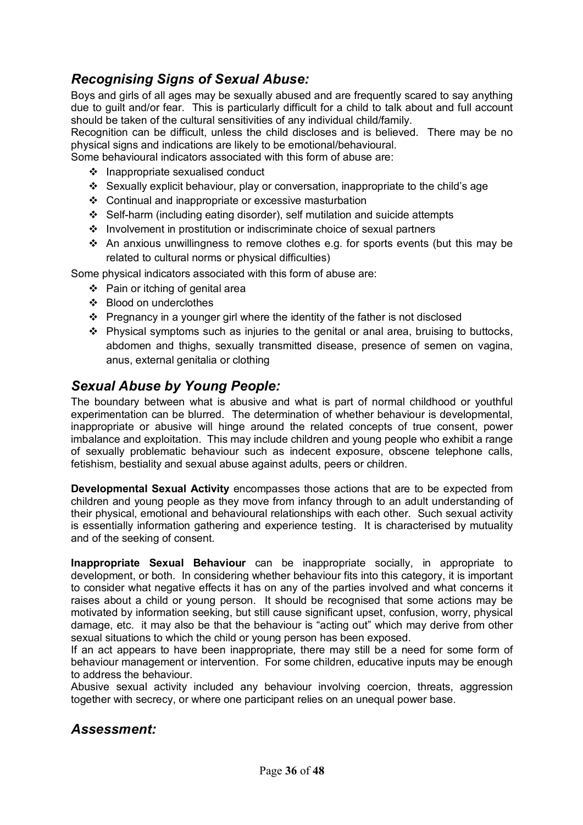### *Recognising Signs of Sexual Abuse:*

Boys and girls of all ages may be sexually abused and are frequently scared to say anything due to guilt and/or fear. This is particularly difficult for a child to talk about and full account should be taken of the cultural sensitivities of any individual child/family.

Recognition can be difficult, unless the child discloses and is believed. There may be no physical signs and indications are likely to be emotional/behavioural.

Some behavioural indicators associated with this form of abuse are:

- $\div$  Inappropriate sexualised conduct
- v Sexually explicit behaviour, play or conversation, inappropriate to the child's age
- v Continual and inappropriate or excessive masturbation
- v Self-harm (including eating disorder), self mutilation and suicide attempts
- $\cdot$  Involvement in prostitution or indiscriminate choice of sexual partners
- $\div$  An anxious unwillingness to remove clothes e.g. for sports events (but this may be related to cultural norms or physical difficulties)

Some physical indicators associated with this form of abuse are:

- $\div$  Pain or itching of genital area
- ❖ Blood on underclothes
- $\hat{P}$  Pregnancy in a younger girl where the identity of the father is not disclosed
- $\cdot \cdot$  Physical symptoms such as injuries to the genital or anal area, bruising to buttocks, abdomen and thighs, sexually transmitted disease, presence of semen on vagina, anus, external genitalia or clothing

#### *Sexual Abuse by Young People:*

The boundary between what is abusive and what is part of normal childhood or youthful experimentation can be blurred. The determination of whether behaviour is developmental, inappropriate or abusive will hinge around the related concepts of true consent, power imbalance and exploitation. This may include children and young people who exhibit a range of sexually problematic behaviour such as indecent exposure, obscene telephone calls, fetishism, bestiality and sexual abuse against adults, peers or children.

**Developmental Sexual Activity** encompasses those actions that are to be expected from children and young people as they move from infancy through to an adult understanding of their physical, emotional and behavioural relationships with each other. Such sexual activity is essentially information gathering and experience testing. It is characterised by mutuality and of the seeking of consent.

**Inappropriate Sexual Behaviour** can be inappropriate socially, in appropriate to development, or both. In considering whether behaviour fits into this category, it is important to consider what negative effects it has on any of the parties involved and what concerns it raises about a child or young person. It should be recognised that some actions may be motivated by information seeking, but still cause significant upset, confusion, worry, physical damage, etc. it may also be that the behaviour is "acting out" which may derive from other sexual situations to which the child or young person has been exposed.

If an act appears to have been inappropriate, there may still be a need for some form of behaviour management or intervention. For some children, educative inputs may be enough to address the behaviour.

Abusive sexual activity included any behaviour involving coercion, threats, aggression together with secrecy, or where one participant relies on an unequal power base.

#### *Assessment:*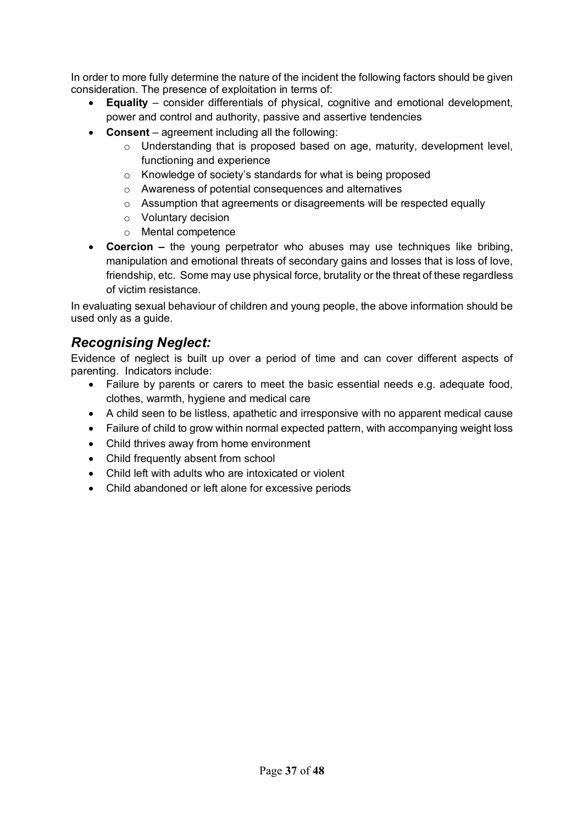In order to more fully determine the nature of the incident the following factors should be given consideration. The presence of exploitation in terms of:

- **Equality**  consider differentials of physical, cognitive and emotional development, power and control and authority, passive and assertive tendencies
- **Consent** agreement including all the following:
	- $\circ$  Understanding that is proposed based on age, maturity, development level, functioning and experience
	- o Knowledge of society's standards for what is being proposed
	- o Awareness of potential consequences and alternatives
	- o Assumption that agreements or disagreements will be respected equally
	- o Voluntary decision
	- o Mental competence
- **Coercion –** the young perpetrator who abuses may use techniques like bribing, manipulation and emotional threats of secondary gains and losses that is loss of love, friendship, etc. Some may use physical force, brutality or the threat of these regardless of victim resistance.

In evaluating sexual behaviour of children and young people, the above information should be used only as a guide.

#### *Recognising Neglect:*

Evidence of neglect is built up over a period of time and can cover different aspects of parenting. Indicators include:

- Failure by parents or carers to meet the basic essential needs e.g. adequate food, clothes, warmth, hygiene and medical care
- A child seen to be listless, apathetic and irresponsive with no apparent medical cause
- Failure of child to grow within normal expected pattern, with accompanying weight loss
- Child thrives away from home environment
- Child frequently absent from school
- Child left with adults who are intoxicated or violent
- Child abandoned or left alone for excessive periods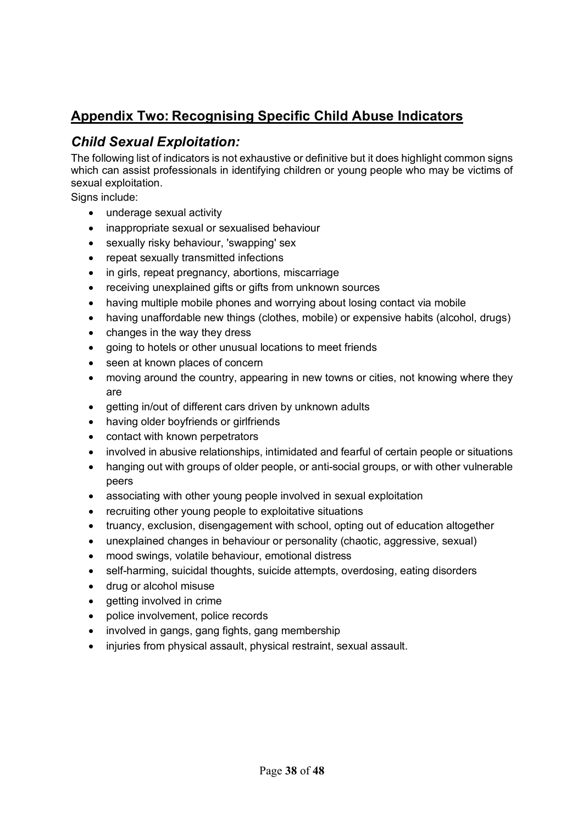### **Appendix Two: Recognising Specific Child Abuse Indicators**

### *Child Sexual Exploitation:*

The following list of indicators is not exhaustive or definitive but it does highlight common signs which can assist professionals in identifying children or young people who may be victims of sexual exploitation.

Signs include:

- underage sexual activity
- inappropriate sexual or sexualised behaviour
- sexually risky behaviour, 'swapping' sex
- repeat sexually transmitted infections
- in girls, repeat pregnancy, abortions, miscarriage
- receiving unexplained gifts or gifts from unknown sources
- having multiple mobile phones and worrying about losing contact via mobile
- having unaffordable new things (clothes, mobile) or expensive habits (alcohol, drugs)
- changes in the way they dress
- going to hotels or other unusual locations to meet friends
- seen at known places of concern
- moving around the country, appearing in new towns or cities, not knowing where they are
- getting in/out of different cars driven by unknown adults
- having older boyfriends or girlfriends
- contact with known perpetrators
- involved in abusive relationships, intimidated and fearful of certain people or situations
- hanging out with groups of older people, or anti-social groups, or with other vulnerable peers
- associating with other young people involved in sexual exploitation
- recruiting other young people to exploitative situations
- truancy, exclusion, disengagement with school, opting out of education altogether
- unexplained changes in behaviour or personality (chaotic, aggressive, sexual)
- mood swings, volatile behaviour, emotional distress
- self-harming, suicidal thoughts, suicide attempts, overdosing, eating disorders
- drug or alcohol misuse
- getting involved in crime
- police involvement, police records
- involved in gangs, gang fights, gang membership
- injuries from physical assault, physical restraint, sexual assault.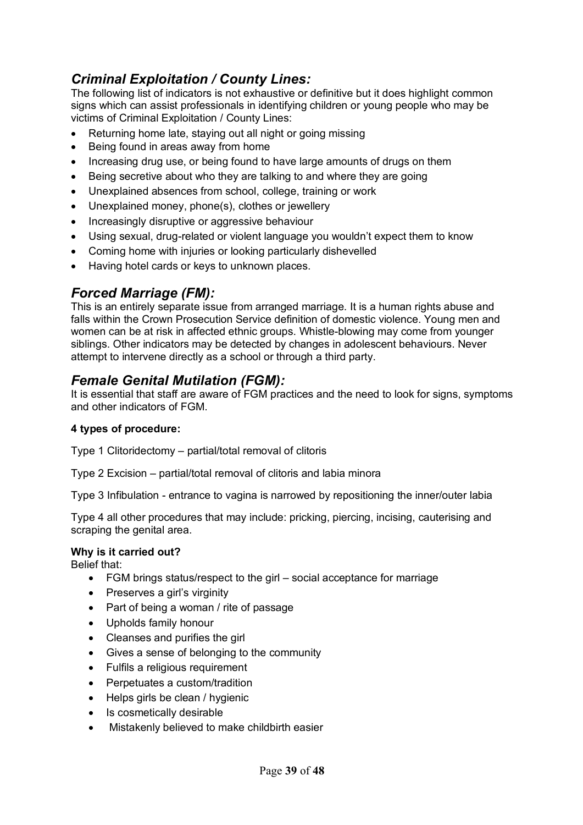### *Criminal Exploitation / County Lines:*

The following list of indicators is not exhaustive or definitive but it does highlight common signs which can assist professionals in identifying children or young people who may be victims of Criminal Exploitation / County Lines:

- Returning home late, staying out all night or going missing
- Being found in areas away from home
- Increasing drug use, or being found to have large amounts of drugs on them
- Being secretive about who they are talking to and where they are going
- Unexplained absences from school, college, training or work
- Unexplained money, phone(s), clothes or jewellery
- Increasingly disruptive or aggressive behaviour
- Using sexual, drug-related or violent language you wouldn't expect them to know
- Coming home with injuries or looking particularly dishevelled
- Having hotel cards or keys to unknown places.

#### *Forced Marriage (FM):*

This is an entirely separate issue from arranged marriage. It is a human rights abuse and falls within the Crown Prosecution Service definition of domestic violence. Young men and women can be at risk in affected ethnic groups. Whistle-blowing may come from younger siblings. Other indicators may be detected by changes in adolescent behaviours. Never attempt to intervene directly as a school or through a third party.

#### *Female Genital Mutilation (FGM):*

It is essential that staff are aware of FGM practices and the need to look for signs, symptoms and other indicators of FGM.

#### **4 types of procedure:**

Type 1 Clitoridectomy – partial/total removal of clitoris

Type 2 Excision – partial/total removal of clitoris and labia minora

Type 3 Infibulation - entrance to vagina is narrowed by repositioning the inner/outer labia

Type 4 all other procedures that may include: pricking, piercing, incising, cauterising and scraping the genital area.

#### **Why is it carried out?**

Belief that:

- FGM brings status/respect to the girl social acceptance for marriage
- Preserves a girl's virginity
- Part of being a woman / rite of passage
- Upholds family honour
- Cleanses and purifies the girl
- Gives a sense of belonging to the community
- Fulfils a religious requirement
- Perpetuates a custom/tradition
- Helps girls be clean / hygienic
- Is cosmetically desirable
- Mistakenly believed to make childbirth easier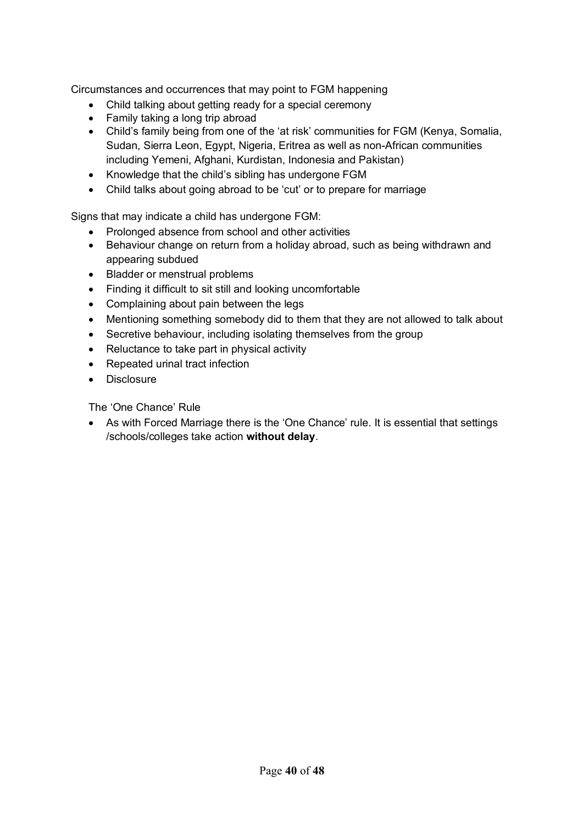Circumstances and occurrences that may point to FGM happening

- Child talking about getting ready for a special ceremony
- Family taking a long trip abroad
- Child's family being from one of the 'at risk' communities for FGM (Kenya, Somalia, Sudan, Sierra Leon, Egypt, Nigeria, Eritrea as well as non-African communities including Yemeni, Afghani, Kurdistan, Indonesia and Pakistan)
- Knowledge that the child's sibling has undergone FGM
- Child talks about going abroad to be 'cut' or to prepare for marriage

Signs that may indicate a child has undergone FGM:

- Prolonged absence from school and other activities
- Behaviour change on return from a holiday abroad, such as being withdrawn and appearing subdued
- Bladder or menstrual problems
- Finding it difficult to sit still and looking uncomfortable
- Complaining about pain between the legs
- Mentioning something somebody did to them that they are not allowed to talk about
- Secretive behaviour, including isolating themselves from the group
- Reluctance to take part in physical activity
- Repeated urinal tract infection
- Disclosure

The 'One Chance' Rule

• As with Forced Marriage there is the 'One Chance' rule. It is essential that settings /schools/colleges take action **without delay**.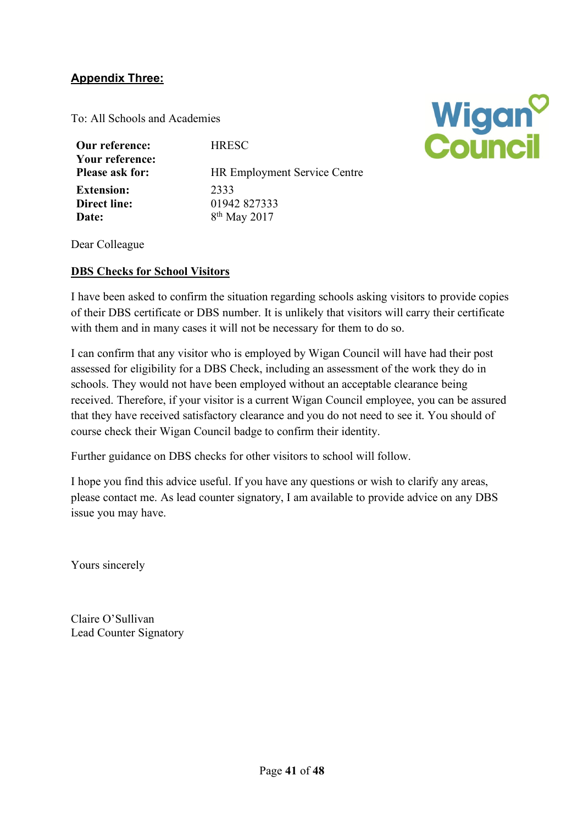#### **Appendix Three:**

To: All Schools and Academies

| Our reference:<br>Your reference: | <b>HRESC</b>                        |
|-----------------------------------|-------------------------------------|
| <b>Please ask for:</b>            | <b>HR Employment Service Centre</b> |
| <b>Extension:</b>                 | 2333                                |
| Direct line:                      | 01942 827333                        |
| Date:                             | 8 <sup>th</sup> May 2017            |



Dear Colleague

#### **DBS Checks for School Visitors**

I have been asked to confirm the situation regarding schools asking visitors to provide copies of their DBS certificate or DBS number. It is unlikely that visitors will carry their certificate with them and in many cases it will not be necessary for them to do so.

I can confirm that any visitor who is employed by Wigan Council will have had their post assessed for eligibility for a DBS Check, including an assessment of the work they do in schools. They would not have been employed without an acceptable clearance being received. Therefore, if your visitor is a current Wigan Council employee, you can be assured that they have received satisfactory clearance and you do not need to see it. You should of course check their Wigan Council badge to confirm their identity.

Further guidance on DBS checks for other visitors to school will follow.

I hope you find this advice useful. If you have any questions or wish to clarify any areas, please contact me. As lead counter signatory, I am available to provide advice on any DBS issue you may have.

Yours sincerely

Claire O'Sullivan Lead Counter Signatory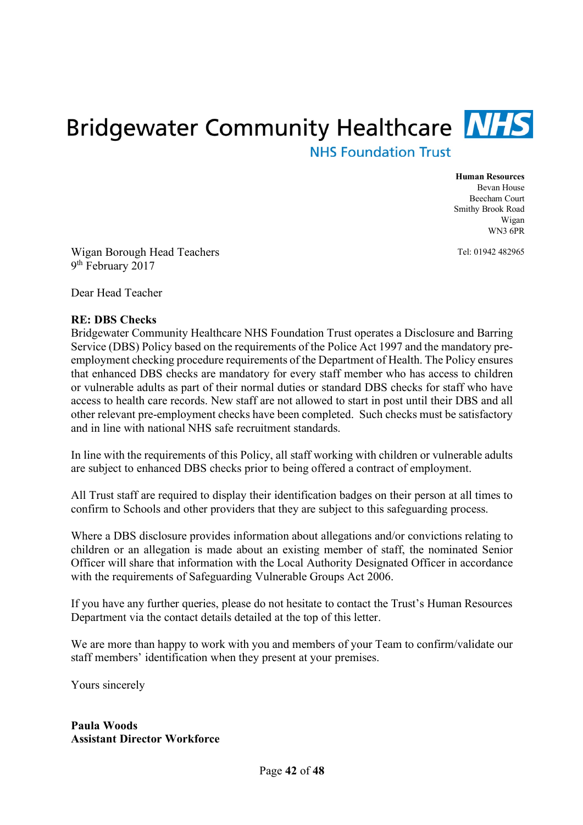# **Bridgewater Community Healthcare NHS NHS Foundation Trust**

#### **Human Resources**

Bevan House Beecham Court Smithy Brook Road Wigan WN3 6PR

Tel: 01942 482965

Wigan Borough Head Teachers 9th February 2017

Dear Head Teacher

#### **RE: DBS Checks**

Bridgewater Community Healthcare NHS Foundation Trust operates a Disclosure and Barring Service (DBS) Policy based on the requirements of the Police Act 1997 and the mandatory preemployment checking procedure requirements of the Department of Health. The Policy ensures that enhanced DBS checks are mandatory for every staff member who has access to children or vulnerable adults as part of their normal duties or standard DBS checks for staff who have access to health care records. New staff are not allowed to start in post until their DBS and all other relevant pre-employment checks have been completed. Such checks must be satisfactory and in line with national NHS safe recruitment standards.

In line with the requirements of this Policy, all staff working with children or vulnerable adults are subject to enhanced DBS checks prior to being offered a contract of employment.

All Trust staff are required to display their identification badges on their person at all times to confirm to Schools and other providers that they are subject to this safeguarding process.

Where a DBS disclosure provides information about allegations and/or convictions relating to children or an allegation is made about an existing member of staff, the nominated Senior Officer will share that information with the Local Authority Designated Officer in accordance with the requirements of Safeguarding Vulnerable Groups Act 2006.

If you have any further queries, please do not hesitate to contact the Trust's Human Resources Department via the contact details detailed at the top of this letter.

We are more than happy to work with you and members of your Team to confirm/validate our staff members' identification when they present at your premises.

Yours sincerely

**Paula Woods Assistant Director Workforce**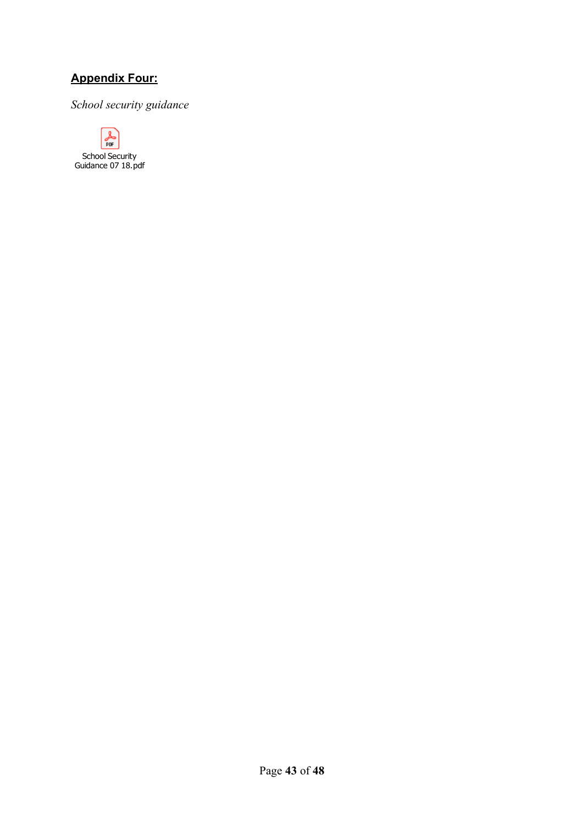### **Appendix Four:**

*School security guidance* 

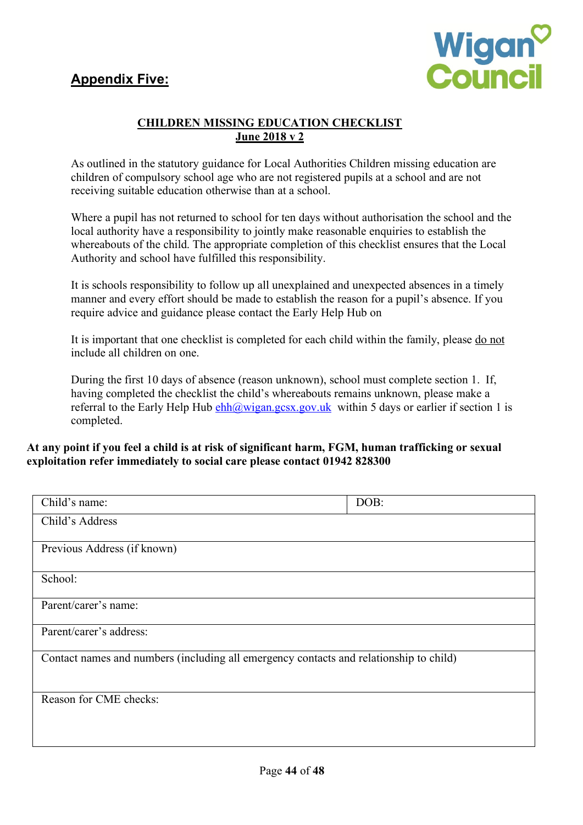### **Appendix Five:**



#### **CHILDREN MISSING EDUCATION CHECKLIST June 2018 v 2**

As outlined in the statutory guidance for Local Authorities Children missing education are children of compulsory school age who are not registered pupils at a school and are not receiving suitable education otherwise than at a school.

Where a pupil has not returned to school for ten days without authorisation the school and the local authority have a responsibility to jointly make reasonable enquiries to establish the whereabouts of the child. The appropriate completion of this checklist ensures that the Local Authority and school have fulfilled this responsibility.

It is schools responsibility to follow up all unexplained and unexpected absences in a timely manner and every effort should be made to establish the reason for a pupil's absence. If you require advice and guidance please contact the Early Help Hub on

It is important that one checklist is completed for each child within the family, please do not include all children on one.

During the first 10 days of absence (reason unknown), school must complete section 1. If, having completed the checklist the child's whereabouts remains unknown, please make a referral to the Early Help Hub  $\frac{\text{ehh}(a) \text{wigan}\cdot \text{gcsx}\cdot \text{gov}\cdot \text{uk}}{\text{Within}}$  solution 1 is completed.

#### **At any point if you feel a child is at risk of significant harm, FGM, human trafficking or sexual exploitation refer immediately to social care please contact 01942 828300**

| Child's name:                                                                          | DOB: |
|----------------------------------------------------------------------------------------|------|
| Child's Address                                                                        |      |
| Previous Address (if known)                                                            |      |
| School:                                                                                |      |
| Parent/carer's name:                                                                   |      |
| Parent/carer's address:                                                                |      |
| Contact names and numbers (including all emergency contacts and relationship to child) |      |
| Reason for CME checks:                                                                 |      |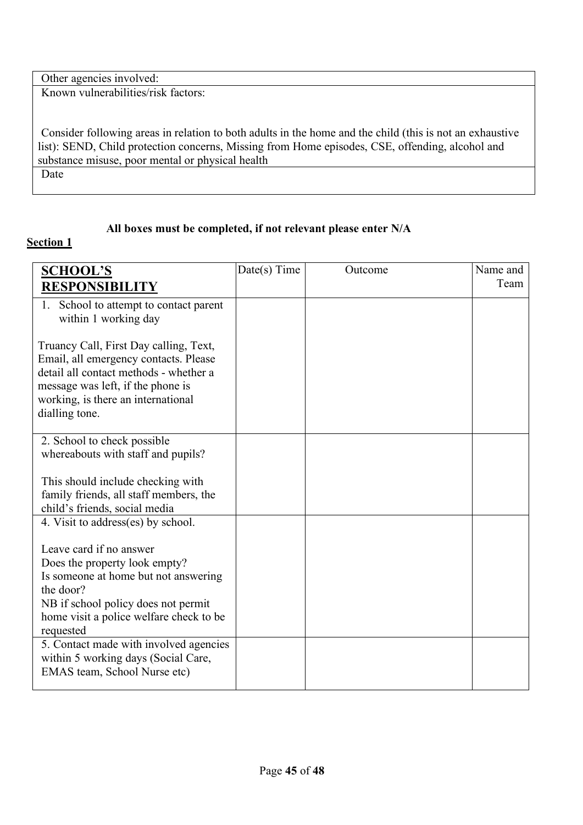| Other agencies involved:                                                                                 |
|----------------------------------------------------------------------------------------------------------|
| Known vulnerabilities/risk factors:                                                                      |
|                                                                                                          |
|                                                                                                          |
| Consider following areas in relation to both adults in the home and the child (this is not an exhaustive |
| list): SEND, Child protection concerns, Missing from Home episodes, CSE, offending, alcohol and          |
| substance misuse, poor mental or physical health                                                         |
| Date                                                                                                     |
|                                                                                                          |

### **All boxes must be completed, if not relevant please enter N/A**

### **Section 1**

| <b>SCHOOL'S</b>                                                             | Date(s) Time | Outcome | Name and |
|-----------------------------------------------------------------------------|--------------|---------|----------|
| <b>RESPONSIBII</b>                                                          |              |         | Team     |
| School to attempt to contact parent<br>1.<br>within 1 working day           |              |         |          |
| Truancy Call, First Day calling, Text,                                      |              |         |          |
| Email, all emergency contacts. Please                                       |              |         |          |
| detail all contact methods - whether a<br>message was left, if the phone is |              |         |          |
| working, is there an international                                          |              |         |          |
| dialling tone.                                                              |              |         |          |
|                                                                             |              |         |          |
| 2. School to check possible<br>whereabouts with staff and pupils?           |              |         |          |
|                                                                             |              |         |          |
| This should include checking with                                           |              |         |          |
| family friends, all staff members, the                                      |              |         |          |
| child's friends, social media<br>4. Visit to address(es) by school.         |              |         |          |
|                                                                             |              |         |          |
| Leave card if no answer                                                     |              |         |          |
| Does the property look empty?                                               |              |         |          |
| Is someone at home but not answering                                        |              |         |          |
| the door?<br>NB if school policy does not permit                            |              |         |          |
| home visit a police welfare check to be                                     |              |         |          |
| requested                                                                   |              |         |          |
| 5. Contact made with involved agencies                                      |              |         |          |
| within 5 working days (Social Care,<br>EMAS team, School Nurse etc)         |              |         |          |
|                                                                             |              |         |          |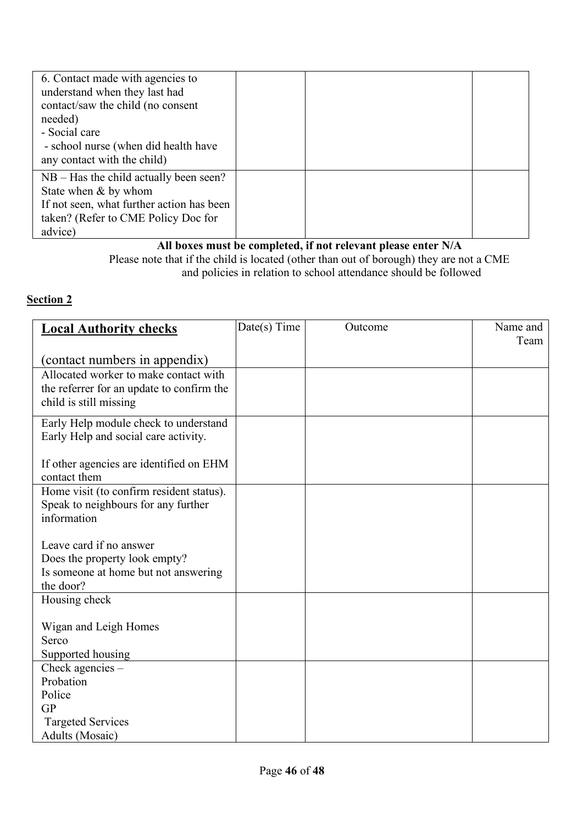| 6. Contact made with agencies to<br>understand when they last had<br>contact/saw the child (no consent<br>needed)<br>- Social care<br>- school nurse (when did health have<br>any contact with the child) |  |  |
|-----------------------------------------------------------------------------------------------------------------------------------------------------------------------------------------------------------|--|--|
| $NB - Has$ the child actually been seen?<br>State when & by whom<br>If not seen, what further action has been<br>taken? (Refer to CME Policy Doc for<br>advice)                                           |  |  |

#### **All boxes must be completed, if not relevant please enter N/A** Please note that if the child is located (other than out of borough) they are not a CME and policies in relation to school attendance should be followed

### **Section 2**

| <b>Local Authority checks</b>             | Date(s) Time | Outcome | Name and |
|-------------------------------------------|--------------|---------|----------|
|                                           |              |         | Team     |
| (contact numbers in appendix)             |              |         |          |
| Allocated worker to make contact with     |              |         |          |
| the referrer for an update to confirm the |              |         |          |
| child is still missing                    |              |         |          |
| Early Help module check to understand     |              |         |          |
| Early Help and social care activity.      |              |         |          |
| If other agencies are identified on EHM   |              |         |          |
| contact them                              |              |         |          |
| Home visit (to confirm resident status).  |              |         |          |
| Speak to neighbours for any further       |              |         |          |
| information                               |              |         |          |
|                                           |              |         |          |
| Leave card if no answer                   |              |         |          |
| Does the property look empty?             |              |         |          |
| Is someone at home but not answering      |              |         |          |
| the door?                                 |              |         |          |
| Housing check                             |              |         |          |
| Wigan and Leigh Homes                     |              |         |          |
| Serco                                     |              |         |          |
| Supported housing                         |              |         |          |
| Check agencies $-$                        |              |         |          |
| Probation                                 |              |         |          |
| Police                                    |              |         |          |
| <b>GP</b>                                 |              |         |          |
| <b>Targeted Services</b>                  |              |         |          |
| Adults (Mosaic)                           |              |         |          |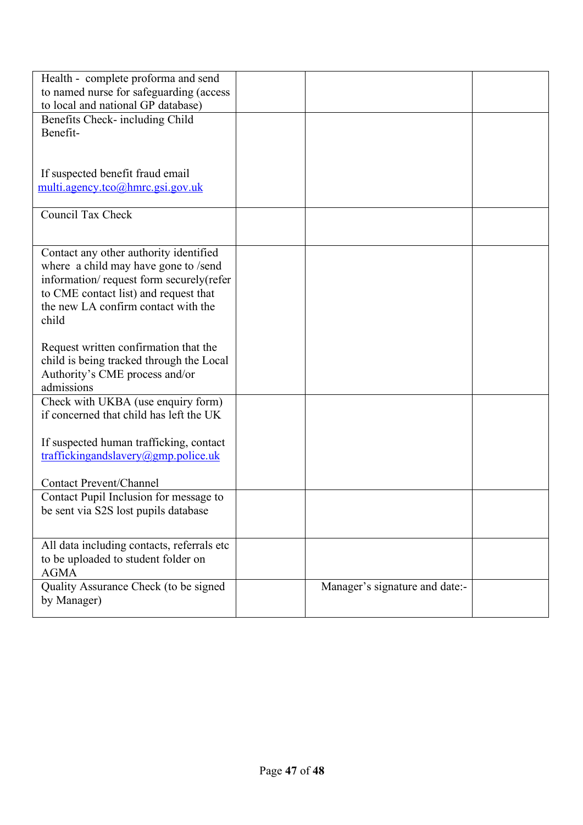| Health - complete proforma and send<br>to named nurse for safeguarding (access)<br>to local and national GP database)<br>Benefits Check- including Child<br>Benefit-                                               |                                |  |
|--------------------------------------------------------------------------------------------------------------------------------------------------------------------------------------------------------------------|--------------------------------|--|
| If suspected benefit fraud email<br>multi.agency.tco@hmrc.gsi.gov.uk                                                                                                                                               |                                |  |
| Council Tax Check                                                                                                                                                                                                  |                                |  |
| Contact any other authority identified<br>where a child may have gone to /send<br>information/request form securely(refer<br>to CME contact list) and request that<br>the new LA confirm contact with the<br>child |                                |  |
| Request written confirmation that the<br>child is being tracked through the Local<br>Authority's CME process and/or<br>admissions                                                                                  |                                |  |
| Check with UKBA (use enquiry form)<br>if concerned that child has left the UK                                                                                                                                      |                                |  |
| If suspected human trafficking, contact<br>traffickingandslavery@gmp.police.uk<br><b>Contact Prevent/Channel</b>                                                                                                   |                                |  |
| Contact Pupil Inclusion for message to<br>be sent via S2S lost pupils database                                                                                                                                     |                                |  |
| All data including contacts, referrals etc<br>to be uploaded to student folder on<br><b>AGMA</b>                                                                                                                   |                                |  |
| Quality Assurance Check (to be signed<br>by Manager)                                                                                                                                                               | Manager's signature and date:- |  |